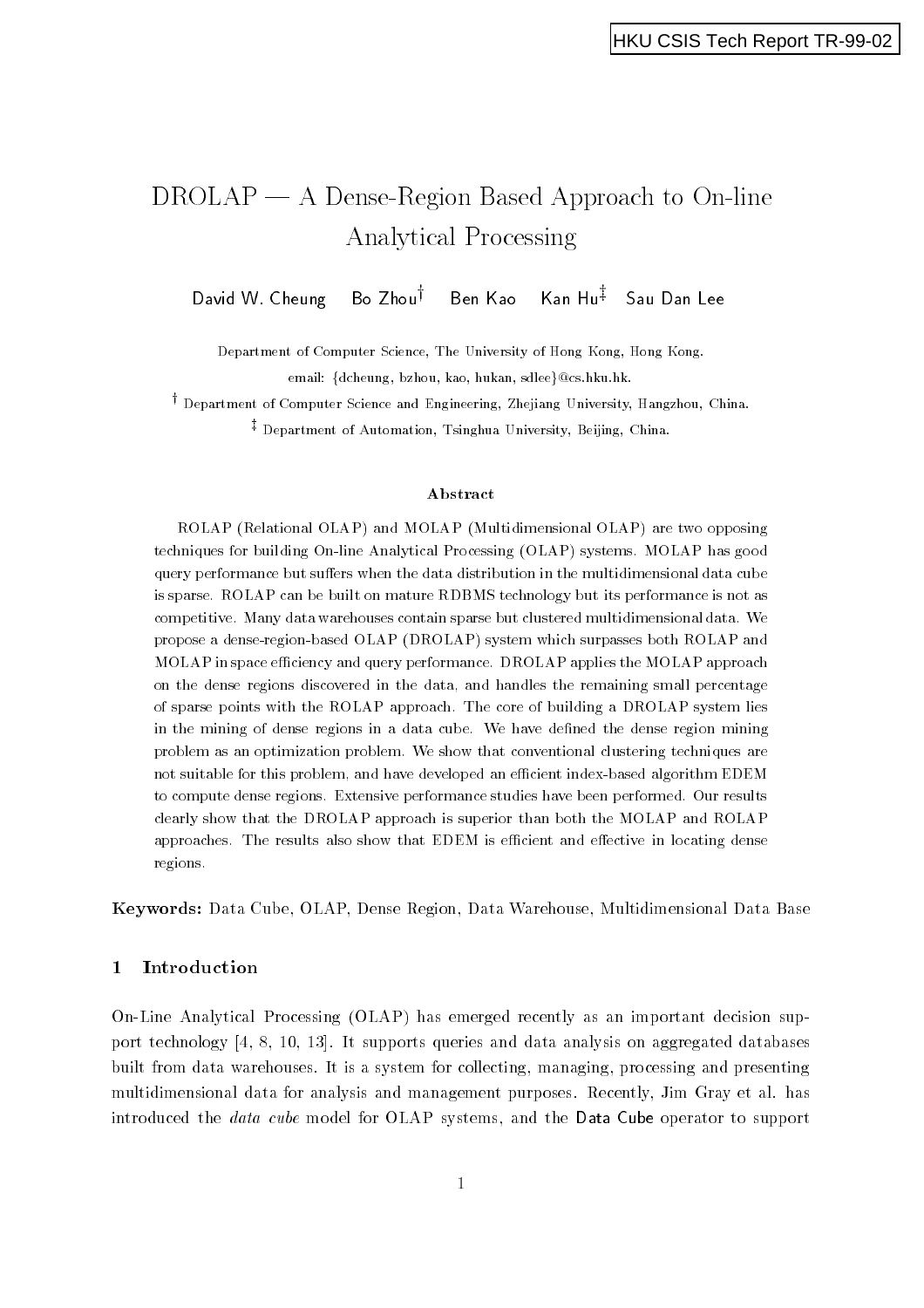# DROLAP A Dense-Region Based Approach to On-line Analytical Processing

David W CheungBo Zhou $^{\dagger}$  Ben Kao Kan Hu $^{\ddagger}$  Sau Dan Lee

Department of Computer Science, The University of Hong Kong, Hong Kong. email: {dcheung, bzhou, kao, hukan, sdlee}@cs.hku.hk.

†<br>† Department of Computer Science and Engineering, Zhejiang University, Hangzhou, China.  $\ddagger$  Department of Automation, Tsinghua University, Beijing, China.

#### Abstract

ROLAP Relational OLAP- and MOLAP Multidimensional OLAP- are two opposing techniques for building Online Analytical Processing OLAP- systems MOLAP has good query performance but suffers when the data distribution in the multidimensional data cube is sparse. ROLAP can be built on mature RDBMS technology but its performance is not as competitive Many data warehouses contain sparse but clustered multidimensional data We propose a dense eigene which sweep (wild proposed in and which surprise both requests and and MOLAP in space efficiency and query performance. DROLAP applies the MOLAP approach on the dense regions discovered in the data and handles the remaining small percentage of sparse points with the ROLAP approach The core of building a DROLAP system lies in the mining of dense regions in a data cube. We have defined the dense region mining problem as an optimization problem We show that conventional clustering techniques are not suitable for this problem, and have developed an efficient index-based algorithm EDEM to compute dense regions. Extensive performance studies have been performed. Our results clearly show that the DROLAP approach is superior than both the MOLAP and ROLAP approaches. The results also show that EDEM is efficient and effective in locating dense regions

Keywords: Data Cube, OLAP, Dense Region, Data Warehouse, Multidimensional Data Base

## Introduction

On-Line Analytical Processing OLAP has emerged recently as an important decision support technology  It supports queries and data analysis on aggregated databases built from data warehouses. It is a system for collecting, managing, processing and presenting multidimensional data for analysis and management purposes Recently Jim Gray et al has introduced the *data cube* model for OLAP systems, and the Data Cube operator to support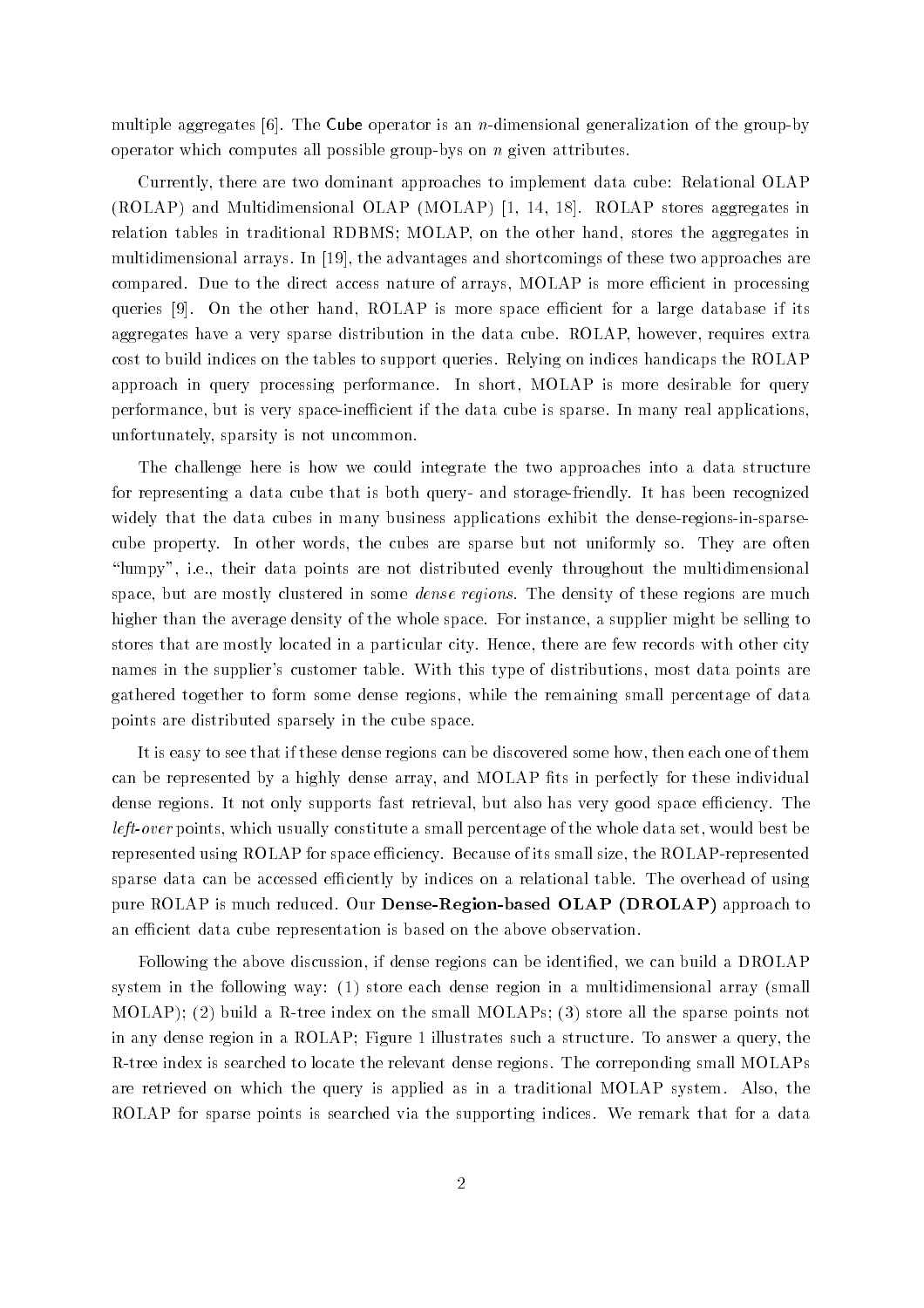multiple aggregates of the group-operator is an  $\alpha$  and the generalization of the group-ofoperator which computes all possible group-bys on n given attributes

Currently, there are two dominant approaches to implement data cube: Relational OLAP  $(ROLAP)$  and Multidimensional OLAP  $(MOLAP)$  [1, 14, 18]. ROLAP stores aggregates in relation tables in traditional RDBMS; MOLAP, on the other hand, stores the aggregates in multidimensional arrays. In  $[19]$ , the advantages and shortcomings of these two approaches are compared. Due to the direct access nature of arrays, MOLAP is more efficient in processing queries  $[9]$ . On the other hand, ROLAP is more space efficient for a large database if its aggregates have a very sparse distribution in the data cube. ROLAP, however, requires extra cost to build indices on the tables to support queries Relying on indices handicaps the ROLAP approach in query processing performance. In short, MOLAP is more desirable for query performance but is very space-inecient if the data cube is sparse In many real applications unfortunately, sparsity is not uncommon.

The challenge here is how we could integrate the two approaches into a data structure for representing a data cube that is both query- and storage-friendly It has been recognized widely that the data cubes in many business applications exhibit the dense-regions-in-sparsecube property. In other words, the cubes are sparse but not uniformly so. They are often "lumpy", i.e., their data points are not distributed evenly throughout the multidimensional space, but are mostly clustered in some *dense regions*. The density of these regions are much higher than the average density of the whole space. For instance, a supplier might be selling to stores that are mostly located in a particular city. Hence, there are few records with other city names in the supplier's customer table. With this type of distributions, most data points are gathered together to form some dense regions while the remaining small percentage of data points are distributed sparsely in the cube space

It is easy to see that if these dense regions can be discovered some how, then each one of them can be represented by a highly dense array, and MOLAP fits in perfectly for these individual dense regions. It not only supports fast retrieval, but also has very good space efficiency. The  $left-over$  points, which usually constitute a small percentage of the whole data set, would best be represented using ROLAP for space eciency Because of its small size the ROLAP-represented sparse data can be accessed efficiently by indices on a relational table. The overhead of using pure ROLAP is much reduced Our Dense-Region-based OLAP DROLAP approach to an efficient data cube representation is based on the above observation.

Following the above discussion, if dense regions can be identified, we can build a DROLAP system in the following way:  $(1)$  store each dense region in a multidimensional array (small MOLAP build a R-tree index on the small MOLAPs store all the sparse points not in any dense region in a ROLAP; Figure 1 illustrates such a structure. To answer a query, the R-tree index is searched to locate the relevant dense regions The correponding small MOLAPs are retrieved on which the query is applied as in a traditional MOLAP system. Also, the ROLAP for sparse points is searched via the supporting indices We remark that for a data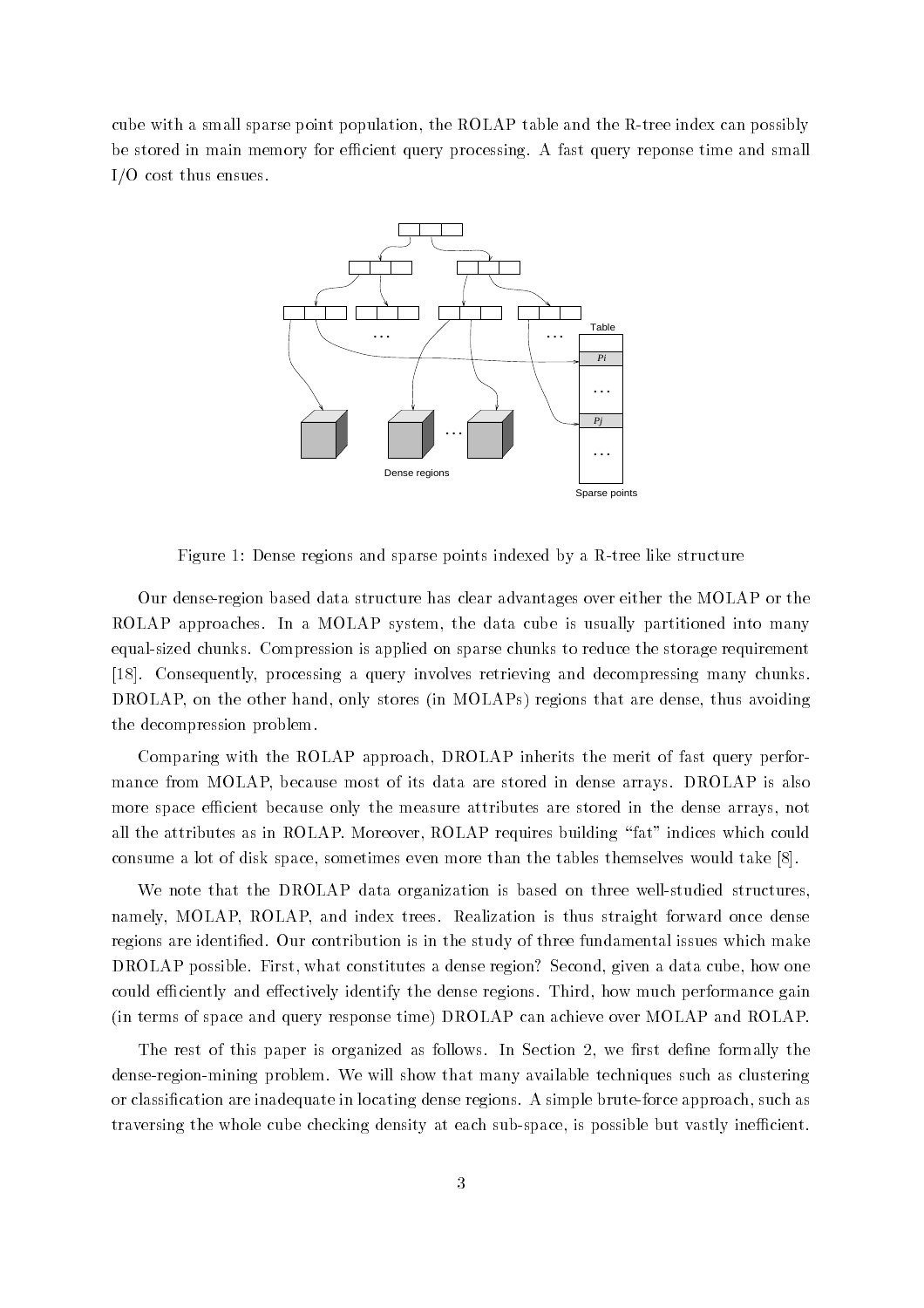cube with a small sparse point population that the ROLAP table and the ROLAP table and the R-S-C-C-C-C-C-C-C-C be stored in main memory for efficient query processing. A fast query reponse time and small  $I/O$  cost thus ensues.



Figure Dense regions and sparse points indexed by a R-tree like structure

Our dense-region based data structure has clear advantages over either the MOLAP or the ROLAP approaches. In a MOLAP system, the data cube is usually partitioned into many equal-sized chunks Compression is applied on sparse chunks to reduce the storage requirement [18]. Consequently, processing a query involves retrieving and decompressing many chunks. DROLAP, on the other hand, only stores (in MOLAPs) regions that are dense, thus avoiding the decompression problem

Comparing with the ROLAP approach DROLAP inherits the merit of fast query performance from MOLAP, because most of its data are stored in dense arrays. DROLAP is also more space efficient because only the measure attributes are stored in the dense arrays, not all the attributes as in ROLAP. Moreover, ROLAP requires building "fat" indices which could consume a lot of disk space, sometimes even more than the tables themselves would take  $[8]$ .

We note that the DROLAP data organization is based on three well-studied structures namely, MOLAP, ROLAP, and index trees. Realization is thus straight forward once dense regions are identified. Our contribution is in the study of three fundamental issues which make DROLAP possible. First, what constitutes a dense region? Second, given a data cube, how one could efficiently and effectively identify the dense regions. Third, how much performance gain (in terms of space and query response time) DROLAP can achieve over MOLAP and ROLAP.

The rest of this paper is organized as follows. In Section 2, we first define formally the dense-region-mining problem We will show that many available techniques such as clustering or classication are independent in locating dense regions are given by  $\mathbb{F}_2$  such as  $\mathbb{F}_2$  such as  $\mathbb{F}_2$ traversing the whole cube checking density at each sub-space is possible but vastly inecient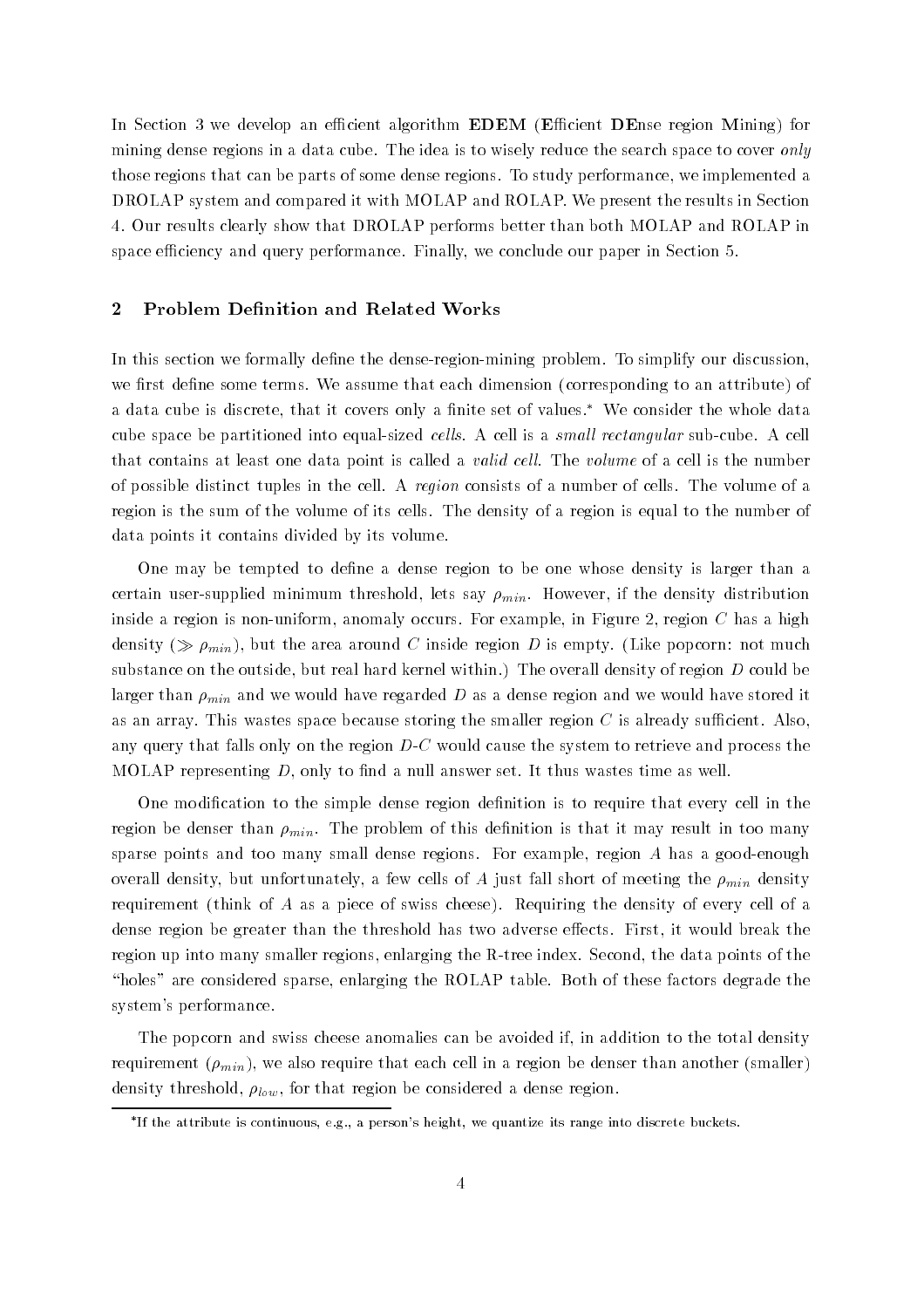In Section we develop an ecient algorithm EDEM Ecient DEnse region Mining for mining dense regions in a data cube. The idea is to wisely reduce the search space to cover only those regions that can be parts of some dense regions. To study performance, we implemented a DROLAP system and compared it with MOLAP and ROLAP. We present the results in Section 4. Our results clearly show that DROLAP performs better than both MOLAP and ROLAP in space efficiency and query performance. Finally, we conclude our paper in Section 5.

#### $\boldsymbol{2}$ Problem Definition and Related Works

In this section we formally dene the dense-region-mining problem To simplify our discussion we first define some terms. We assume that each dimension (corresponding to an attribute) of a data cube is discrete, that it covers only a finite set of values.\* We consider the whole data cube space be partitioned into equal-sized cel ls A cell is a small rectangular sub-cube A cell that contains at least one data point is called a *valid cell*. The *volume* of a cell is the number of possible distinct tuples in the cell A region consists of a number of cells The volume of a region is the sum of the volume of its cells The density of a region is equal to the number of data points it contains divided by its volume

One may be tempted to define a dense region to be one whose density is larger than a certain user-pupper in the density minimum three says minimum if  $\mu$   $\mu$   $\mu$   $\mu$ inside a region is non-uniform anomaly occurs For example in Figure region C has a high density ( $\gg \rho_{min}$ ), but the area around C inside region D is empty. (Like popcorn: not much substance on the outside, but real hard kernel within.) The overall density of region  $D$  could be larger than  $\rho_{min}$  and we would have regarded D as a dense region and we would have stored it as an array. This wastes space because storing the smaller region  $C$  is already sufficient. Also, any query that falls only on the region D-C would cause the system to retrieve and process the s MOLAP representing  $D$ , only to find a null answer set. It thus wastes time as well.

One modification to the simple dense region definition is to require that every cell in the region be denser than  $\rho_{min}$ . The problem of this definition is that it may result in too many sparse points and too many small dense regions For example region A has a good-enough overall density, but unfortunately, a few cells of A just fall short of meeting the  $\rho_{min}$  density requirement (think of  $A$  as a piece of swiss cheese). Requiring the density of every cell of a dense region be greater than the threshold has two adverse effects. First, it would break the region up into many smaller regions enlarging the R-tree index Second the data points of the "holes" are considered sparse, enlarging the ROLAP table. Both of these factors degrade the system's performance.

The popcorn and swiss cheese anomalies can be avoided if in addition to the total density requirement  $(\rho_{min})$ , we also require that each cell in a region be denser than another (smaller) density threshold,  $\rho_{low}$ , for that region be considered a dense region.

If the attribute is continuous e-g- a persons height we quantize its range into discrete buckets-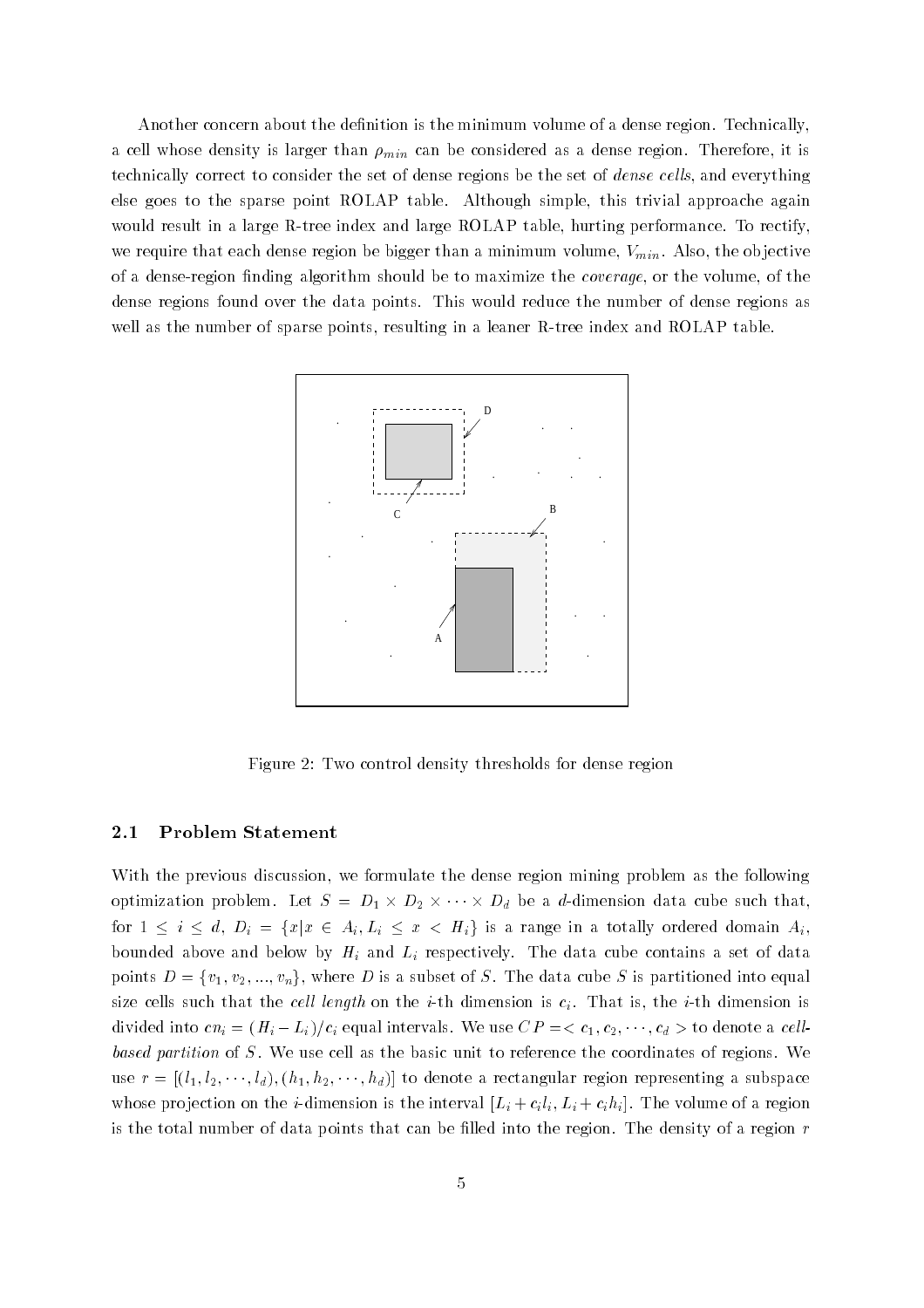Another concern about the definition is the minimum volume of a dense region. Technically, a cell whose density is larger than  $\rho_{min}$  can be considered as a dense region. Therefore, it is technically correct to consider the set of dense regions be the set of *dense cells*, and everything else goes to the sparse point ROLAP table. Although simple, this trivial approache again we are tree in a large Rolandian and large Rolandian and large Rolandian and large Rolandian and large Rolandian and large Rolandian and large Rolandian and large Rolandian and large Rolandian and large Rolandian and larg we require that each dense region be bigger than a minimum volume,  $V_{min}$ . Also, the objective of a dense-region nding algorithm should be to maximize the coverage or the volume of the dense regions found over the data points This would reduce the number of dense regions as we are the number of sparse points points resulting in a lease if the material and Roland Table



Figure 2: Two control density thresholds for dense region

#### $2.1$ Problem Statement

With the previous discussion, we formulate the dense region mining problem as the following optimization problem. Let  $S = D_1 \times D_2 \times \cdots \times D_d$  be a *d*-dimension data cube such that, for  $1 \leq i \leq d$ ,  $D_i = \{x | x \in A_i, L_i \leq x \leq H_i\}$  is a range in a totally ordered domain  $A_i$ . bounded above and below by  $H_i$  and  $L_i$  respectively. The data cube contains a set of data points  $D = \{v_1, v_2, ..., v_n\}$ , where D is a subset of S. The data cube S is partitioned into equal the cells such that the cell length on the i-mension interaction is the i-mension is the interaction in divided into  $cn_i = (H_i - L_i)/c_i$  equal intervals. We use  $CP = \langle c_1, c_2, \cdots, c_d \rangle$  to denote a cellbased partition of  $S$ . We use cell as the basic unit to reference the coordinates of regions. We use  $r = \left[\left(l_1, l_2, \dots, l_d\right), \left(h_1, h_2, \dots, h_d\right)\right]$  to denote a rectangular region representing a subspace whose pro jection on the i-dimension is the interval Li cili- Li cihi The volume of a region is the total number of data points that can be filled into the region. The density of a region  $r$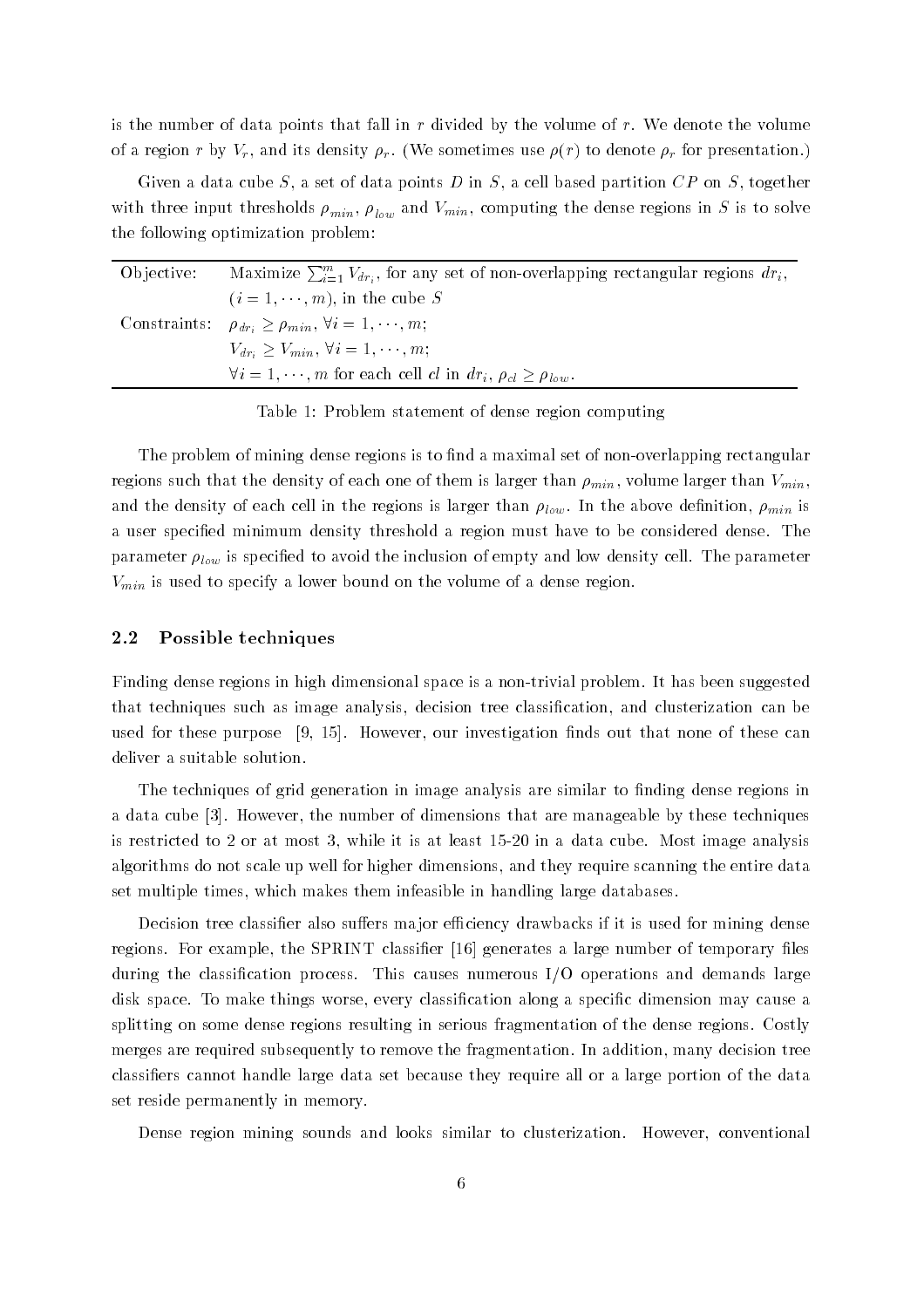is the number of data points that fall in  $r$  divided by the volume of  $r$ . We denote the volume of a region r by  $V_r$ , and its density  $\rho_r$ . (We sometimes use  $\rho(r)$  to denote  $\rho_r$  for presentation.)

Given a data cube S, a set of data points D in S, a cell based partition  $CP$  on S, together  $\mathbf{r}$  in and VMIN computations in S is to solve regions in S is to solve regions in S is to solve regions in S is to solve regions in S is to solve regions in S is to solve regions in S is to solve regions in S is to s the following optimization problem

| Objective: | Maximize $\sum_{i=1}^{m} V_{dr_i}$ , for any set of non-overlapping rectangular regions $dr_i$ , |
|------------|--------------------------------------------------------------------------------------------------|
|            | $(i = 1, \dots, m)$ , in the cube S                                                              |
|            | Constraints: $\rho_{dr_i} \ge \rho_{min}, \forall i = 1, \dots, m;$                              |
|            | $V_{dr_i} \geq V_{min}, \forall i = 1, \cdots, m;$                                               |
|            | $\forall i = 1, \dots, m$ for each cell cl in $dr_i$ , $\rho_{cl} \geq \rho_{low}$ .             |

Table 1: Problem statement of dense region computing

The problem of mining dense regions is to nd a maximal set of non-overlapping rectangular regions such that the density of each one of them is larger than  $\rho_{min}$ , volume larger than  $V_{min}$ , and the density of each cell in the regions is larger than  $\rho_{low}$ . In the above definition,  $\rho_{min}$  is a user specified minimum density threshold a region must have to be considered dense. The parameter  $\rho_{low}$  is specified to avoid the inclusion of empty and low density cell. The parameter  $V_{min}$  is used to specify a lower bound on the volume of a dense region.

#### Possible techniques

Finding dense regions in high dimensional space is a non-trivial problem It has been suggested that techniques such as image analysis, decision tree classification, and clusterization can be used for these purpose  $[9, 15]$ . However, our investigation finds out that none of these can deliver a suitable solution

The techniques of grid generation in image analysis are similar to finding dense regions in a data cube papa menggarang telah menentum termanan di dimensions that are manageable by these techniques are is restricted to at least  $\mathbb{R}^n$  is at least  $\mathbb{R}^n$  in a data cube analysis analysis  $\mathbb{R}^n$ algorithms do not scale up well for higher dimensions and they require scanning the entire data set multiple times, which makes them infeasible in handling large databases.

Decision tree classifier also suffers major efficiency drawbacks if it is used for mining dense regions. For example, the SPRINT classifier [16] generates a large number of temporary files during the classification process. This causes numerous  $I/O$  operations and demands large disk space. To make things worse, every classification along a specific dimension may cause a splitting on some dense regions resulting in serious fragmentation of the dense regions Costly merges are required subsequently to remove the fragmentation. In addition, many decision tree classifiers cannot handle large data set because they require all or a large portion of the data set reside permanently in memory

Dense region mining sounds and looks similar to clusterization. However, conventional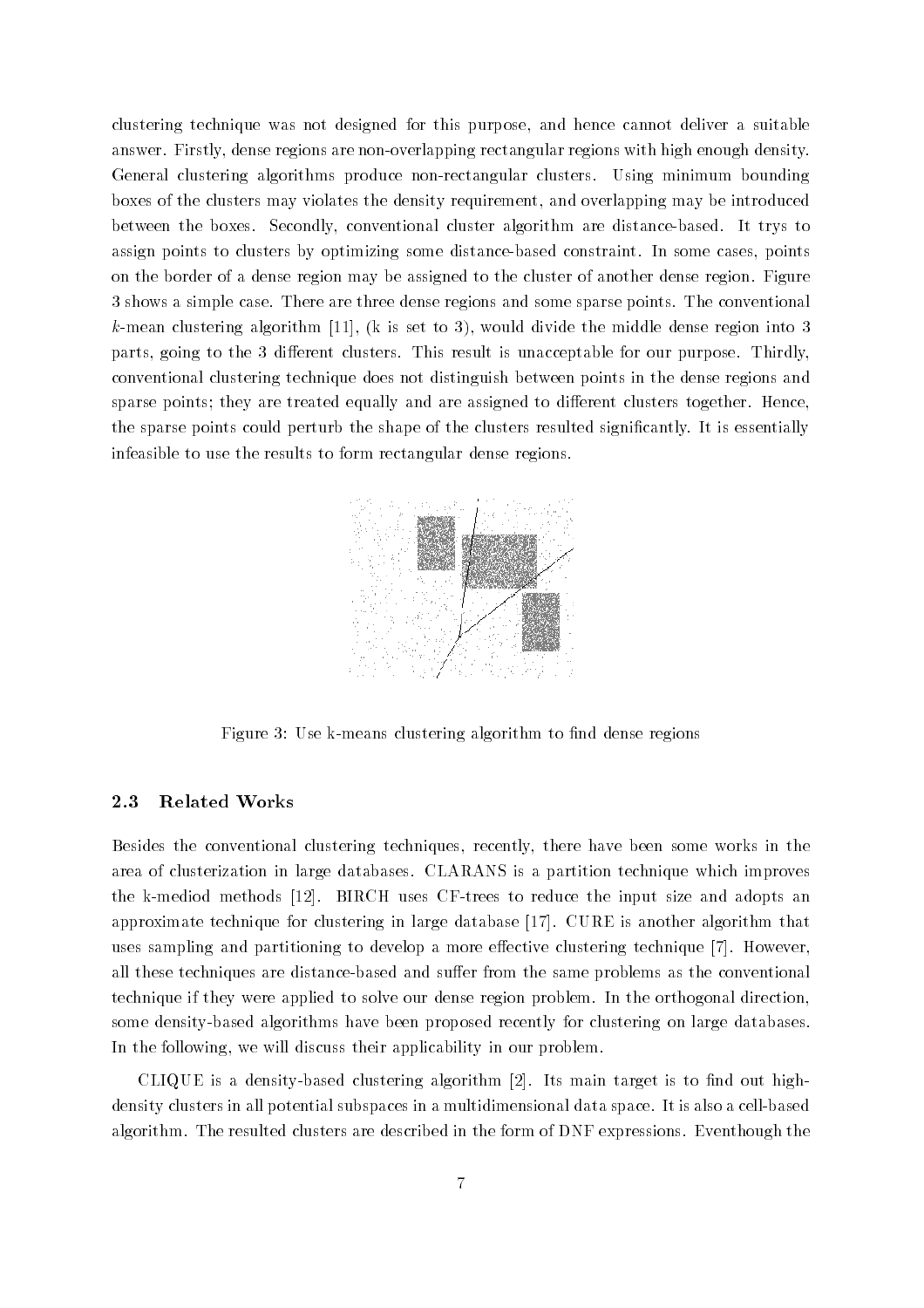clustering technique was not designed for this purpose, and hence cannot deliver a suitable answer Firstly dense regions are non-overlapping rectangular regions with high enough density General clustering algorithms produce non-rectangular clusters Using minimum bounding boxes of the clusters may violates the density requirement and overlapping may be introduced  $\mathbf{B}$ assign points to clusters by optimizing some distance-based constraint In some cases points on the border of a dense region may be assigned to the cluster of another dense region Figure shows a simple case  $\mathcal{L}_\mathbf{A}$  are three density regions and some sparse points  $\mathbf{I}_\mathbf{A}$  are the conventional some space points and some space  $\mathbf{I}_\mathbf{A}$ mean clustering algorithm k is set to set to all would divide the middle the middle the middle the parts going to the dierent clusters This result is unacceptable for our purpose Thirdly conventional clustering technique does not distinguish between points in the dense regions and sparse points; they are treated equally and are assigned to different clusters together. Hence, the sparse points could perturb the shape of the clusters resulted signicantly It is essentially infeasible to use the results to form rectangular dense regions



Figure Use k-means clustering algorithm to nd dense regions

#### 2.3 Related Works

Besides the conventional clustering techniques, recently, there have been some works in the area of clusterization in large databases CLARANS is a partition technique which improves the medical methods projection and intervalse the intervalse and and adopts and adopts and adopts and approximate technique for clustering in large database  $[17]$ . CURE is another algorithm that uses sampling and partitioning to develop a more effective clustering technique  $[7]$ . However, all these techniques are distance- was the same problems as the same problems as the same problems as the conven technique if they were applied to solve our dense region problem In the orthogonal direction some density-based algorithms have been proposed recently for clustering on large databases In the following, we will discuss their applicability in our problem.

 $\blacksquare$  based clustering algorithm algorithm algorithm  $\blacksquare$ density constructed in a multiple continue of the content of the multiple data spaces in a cell-space of the c algorithm The resulted clusters are described in the form of DNF expressions Eventhough the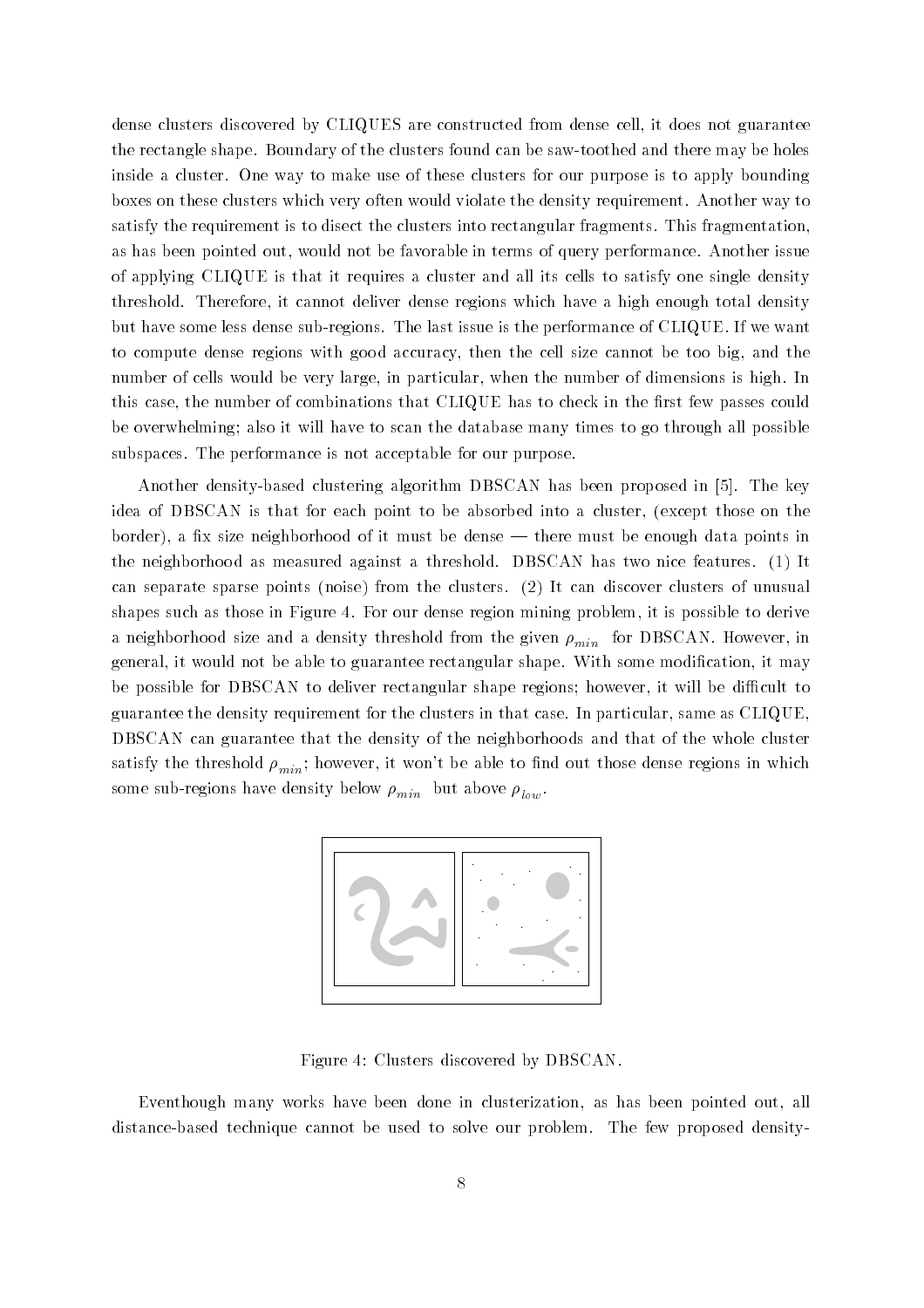dense clusters discovered by CLIQUES are constructed from dense cell, it does not guarantee  $\mathbf{B}$  and the clusters foundation be saw-toothed and the clusters found can be saw-toothed and there may be holes inside a cluster One way to make use of these clusters for our purpose is to apply bounding boxes on these clusters which very often would violate the density requirement Another way to satisfy the requirement is to disect the clusters into rectangular fragments. This fragmentation, as has been pointed out, would not be favorable in terms of query performance. Another issue of applying CLIQUE is that it requires a cluster and all its cells to satisfy one single density threshold. Therefore, it cannot deliver dense regions which have a high enough total density but have some less dense sub-regions The last issue is the performance of CLIQUE If we want to compute dense regions with good accuracy, then the cell size cannot be too big, and the number of cells would be very large, in particular, when the number of dimensions is high. In this case, the number of combinations that CLIQUE has to check in the first few passes could be overwhelming; also it will have to scan the database many times to go through all possible subspaces. The performance is not acceptable for our purpose.

Another density-based clustering algorithm DBSCAN has been proposed in  The key idea of DBSCAN is that for each point to be absorbed into a cluster, (except those on the border), a fix size neighborhood of it must be dense — there must be enough data points in the neighborhood as measured against a threshold. DBSCAN has two nice features.  $(1)$  It can separate sparse points (noise) from the clusters.  $(2)$  It can discover clusters of unusual shapes such as those in Figure 4. For our dense region mining problem, it is possible to derive a neighborhood size and a density threshold from the given  $\rho_{min}$  for DBSCAN. However, in general, it would not be able to guarantee rectangular shape. With some modification, it may be possible for DBSCAN to deliver rectangular shape regions; however, it will be difficult to guarantee the density requirement for the clusters in that case. In particular, same as  $CLIQUE$ , DBSCAN can guarantee that the density of the neighborhoods and that of the whole cluster satisfy the threshold  $\rho_{min}$ ; however, it won't be able to find out those dense regions in which some sub-density below minds  $r_{min}$  min but above  $r_{low}$ .



Figure 4: Clusters discovered by DBSCAN.

Eventhough many works have been done in clusterization, as has been pointed out, all distance-based technique cannot be used to solve our problem The few proposed density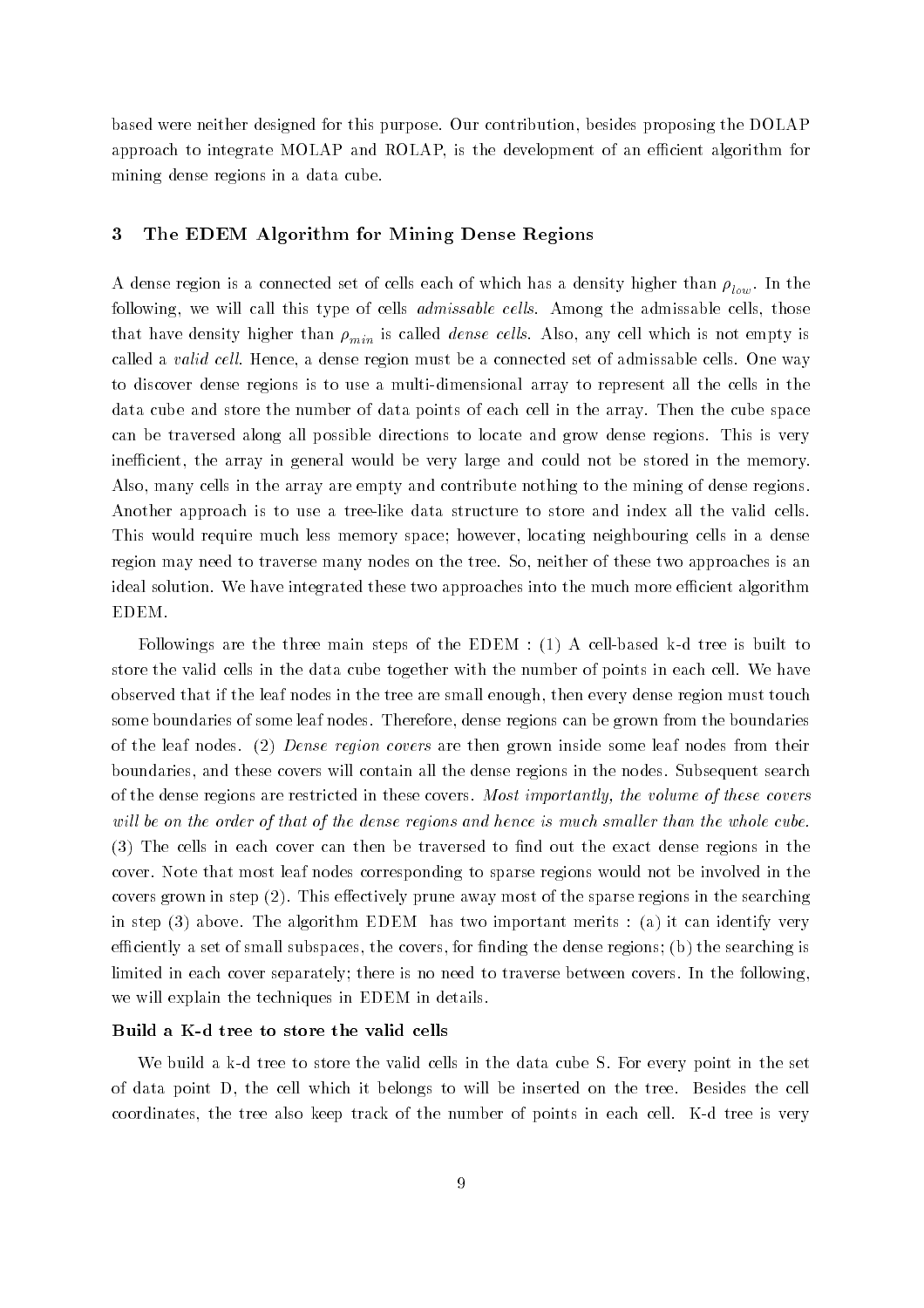based were neither designed for this purpose. Our contribution, besides proposing the DOLAP approach to integrate MOLAP and ROLAP, is the development of an efficient algorithm for mining dense regions in a data cube

## The EDEM Algorithm for Mining Dense Regions

 $\alpha$  and the connected set of cells each of which has a density has a density has a density higher than  $\alpha$ following, we will call this type of cells *admissable cells*. Among the admissable cells, those that have density higher than  $\rho_{min}$  is called *dense cells*. Also, any cell which is not empty is called a valid cell. Hence, a dense region must be a connected set of admissable cells. One way to discover dense regions is to use a multi-dimensional array to represent all the cells in the data cube and store the number of data points of each cell in the array Then the cube space can be traversed along all possible directions to locate and grow dense regions This is very inefficient, the array in general would be very large and could not be stored in the memory. Also, many cells in the array are empty and contribute nothing to the mining of dense regions. Another approach is to use a tree-like data structure to store and index all the valid cells This would require much less memory space; however, locating neighbouring cells in a dense region may need to traverse many nodes on the tree. So, neither of these two approaches is an ideal solution. We have integrated these two approaches into the much more efficient algorithm EDEM

Followings are the three main steps of the EDEM A cell-based k-d tree is built to store the valid cells in the data cube together with the number of points in each cell We have observed that if the leaf nodes in the tree are small enough, then every dense region must touch some boundaries of some leaf nodes. Therefore, dense regions can be grown from the boundaries of the leaf nodes. (2) Dense region covers are then grown inside some leaf nodes from their boundaries, and these covers will contain all the dense regions in the nodes. Subsequent search of the dense regions are restricted in these covers most importantly, with the will of these covers will be on the order of that of the dense regions and hence is much smaller than the whole cube. The cells in each cover can then be traversed to non-then be traversed to non-then be traversed to non-then be traversed to non-then be traversed to non-then be traversed to non-then be the exact dense regions in the exac cover Note that most leaf nodes corresponding to sparse regions would not be involved in the covers grown in step  $(2)$ . This effectively prune away most of the sparse regions in the searching in step above The algorithm EDEM has two important merits a it can identify very efficiently a set of small subspaces, the covers, for finding the dense regions; (b) the searching is limited in each cover separately; there is no need to traverse between covers. In the following, we will explain the techniques in EDEM in details

which distribute the valid cells in the data clear the valid cells in the set of the set of the set  $\alpha$ of data point D, the cell which it belongs to will be inserted on the tree. Besides the cell coordinates the tree also keep track of the number of points in each cell K-d tree is very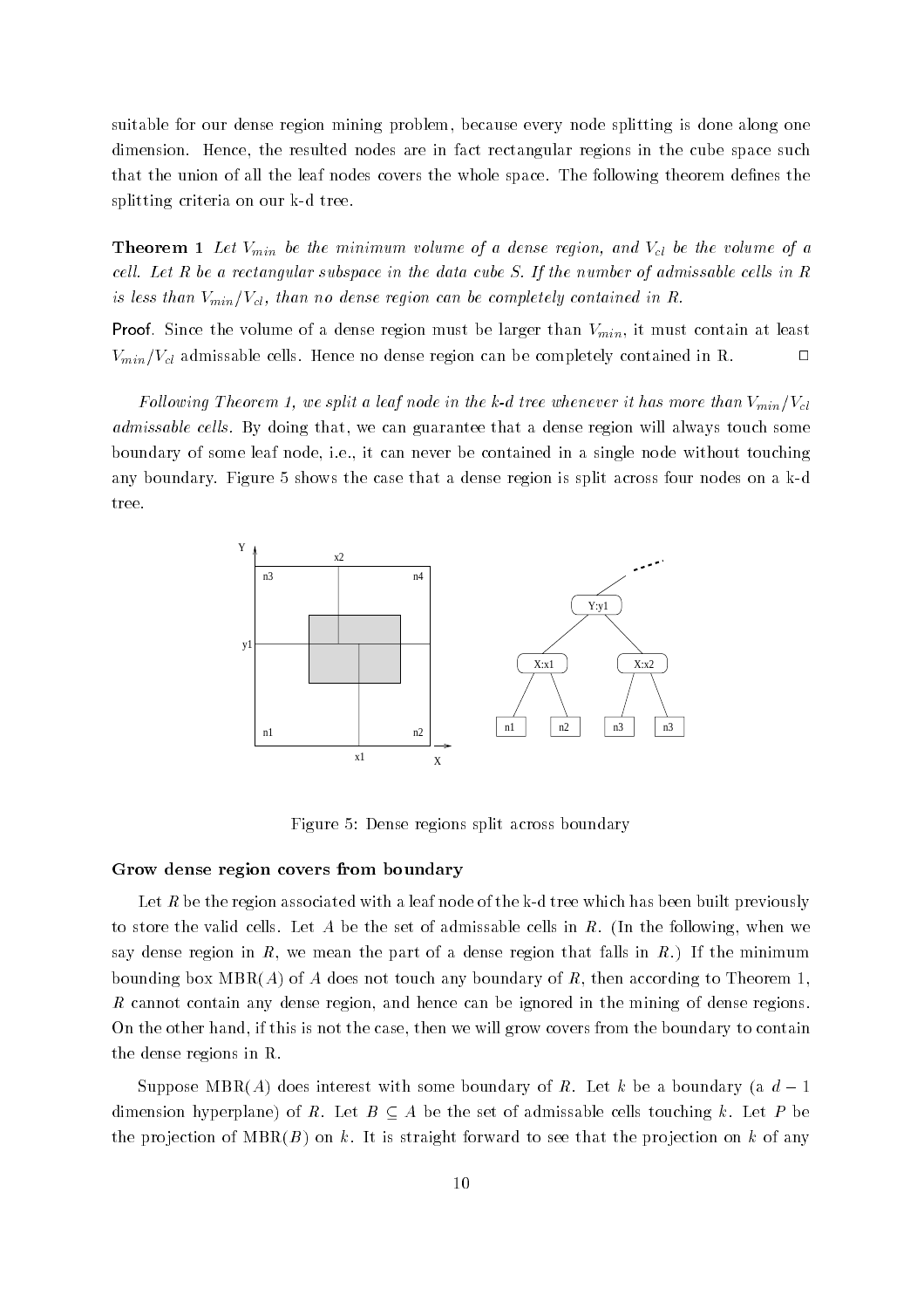suitable for our dense region mining problem, because every node splitting is done along one dimension. Hence, the resulted nodes are in fact rectangular regions in the cube space such that the union of all the leaf nodes covers the whole space. The following theorem defines the splitting criteria our contract of the contract of the contract of the contract of the contract of the contract of the contract of the contract of the contract of the contract of the contract of the contract of the contrac

The minimum volume of a dense region-dense region-dense region-dense region-dense region-dense region-dense regioncell. Let R be a rectangular subspace in the data cube S. If the number of admissable cells in R is less than Vminn Vch and the dense region can be completely contained in Re

Proof Since the volume of a dense region must be larger than Vmin it must contain at least  $V_{min}/V_{cl}$  admissable cells. Hence no dense region can be completely contained in R.

Following Filesian F, we spill a leap items in the konstruction is node in the whenever provided the admissable cells. By doing that, we can guarantee that a dense region will always touch some boundary of some leaf node, i.e., it can never be contained in a single node without touching any boundary, Figure 3 shows the case that a dense region is split and the dense region is split and a ktree



Figure 5: Dense regions split across boundary

#### Grow dense region covers from boundary

Let R be the region associated with a leaf node of the k-d tree which has been built previously to store the valid cells. Let A be the set of admissable cells in R. (In the following, when we say dense region in R, we mean the part of a dense region that falls in  $R$ .) If the minimum bounding box  $MBR(A)$  of A does not touch any boundary of R, then according to Theorem 1, R cannot contain any dense region, and hence can be ignored in the mining of dense regions. On the other hand, if this is not the case, then we will grow covers from the boundary to contain the dense regions in R

Suppose MBR(A) does interest with some boundary of R. Let k be a boundary (a  $d-1$ dimension hyperplane) of R. Let  $B \subseteq A$  be the set of admissable cells touching k. Let P be the projection of  $MBR(B)$  on k. It is straight forward to see that the projection on k of any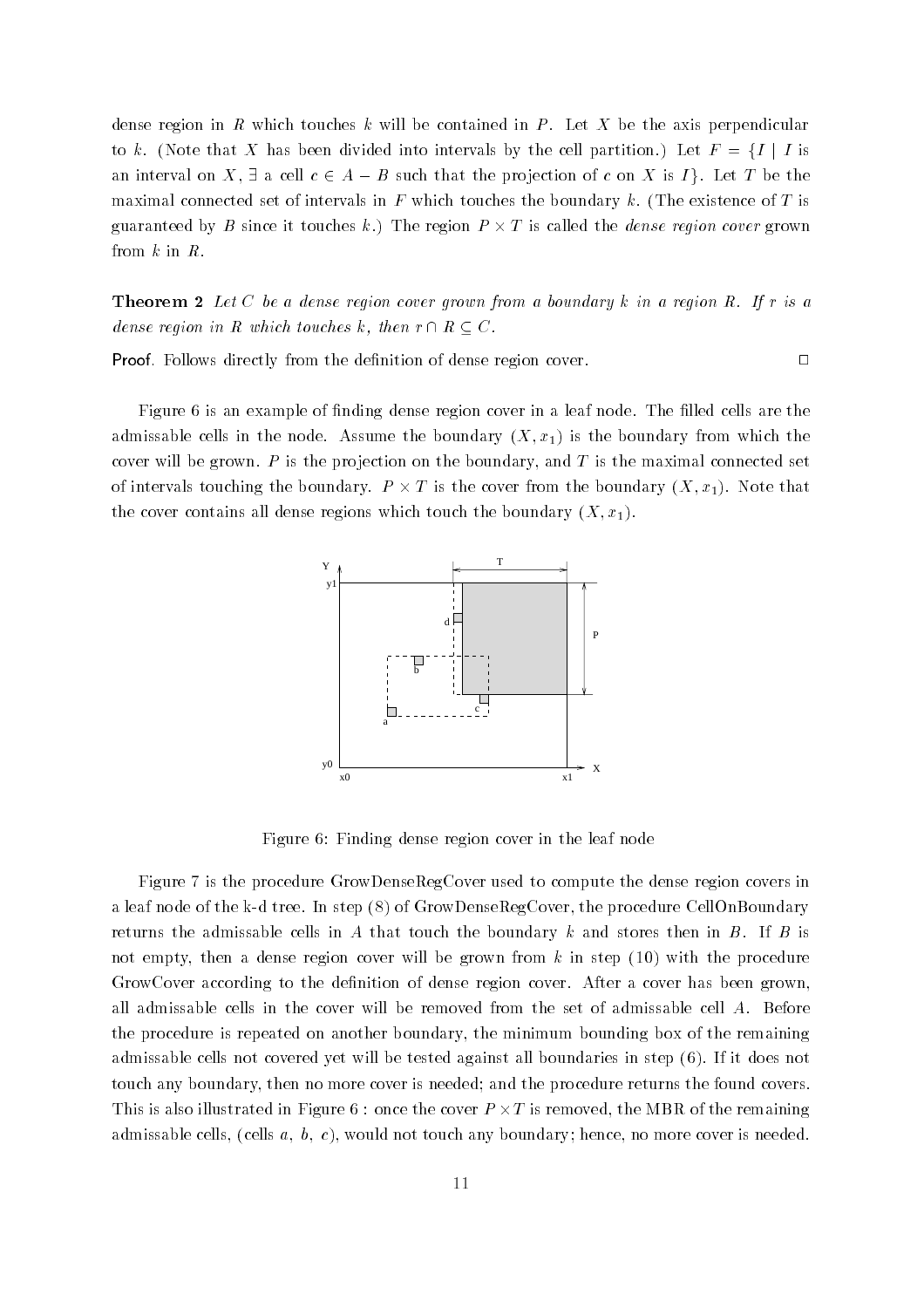dense region in R which touches  $k$  will be contained in P. Let X be the axis perpendicular to k. (Note that X has been divided into intervals by the cell partition.) Let  $F = \{I \mid I \text{ is }$ an interval on X,  $\exists$  a cell  $c \in A - B$  such that the projection of c on X is I}. Let T be the maximal connected set of intervals in  $F$  which touches the boundary k. (The existence of  $T$  is guaranteed by B since it touches k.) The region  $P \times T$  is called the *dense region cover* grown from  $k$  in  $R$ .

**Theorem 2** Let C be a dense region cover grown from a boundary k in a region R. If r is a dense region in R which touches k, then  $r \cap R \subseteq C$ .

Proof Follows directly from the denition of dense region cover

Figure 6 is an example of finding dense region cover in a leaf node. The filled cells are the admissable cells in the model of the boundary  $\alpha$  is the boundary  $\alpha$  is the boundary from which the boundary cover will be grown.  $P$  is the projection on the boundary, and  $T$  is the maximal connected set of intervals touching the boundary.  $P \times T$  is the cover from the boundary  $(X, x_1)$ . Note that the cover contains all dense regions which to dense the boundary  $X$ -regions  $\mathcal{X}$ 



Figure 
 Finding dense region cover in the leaf node

Figure 7 is the procedure GrowDenseRegCover used to compute the dense region covers in a leaf the step in the k-trees in step  $\{x_i\}$  in step  $\alpha$  . The procedure  $\alpha$  is the procedure  $\alpha$ returns the admissable cells in A that touch the boundary k and stores then in B. If B is not empty, then a dense region cover will be grown from  $k$  in step  $(10)$  with the procedure GrowCover according to the definition of dense region cover. After a cover has been grown, all admissable cells in the cover will be removed from the set of admissable cell A Before the procedure is repeated on another boundary the minimum bounding box of the remaining admissable cells not covered yet will be tested against all boundaries in step (6). If it does not touch any boundary, then no more cover is needed; and the procedure returns the found covers. This is also illustrated in Figure 6 : once the cover  $P \times T$  is removed, the MBR of the remaining admissable cells cells a- b- c would not touch any boundary hence no more cover is needed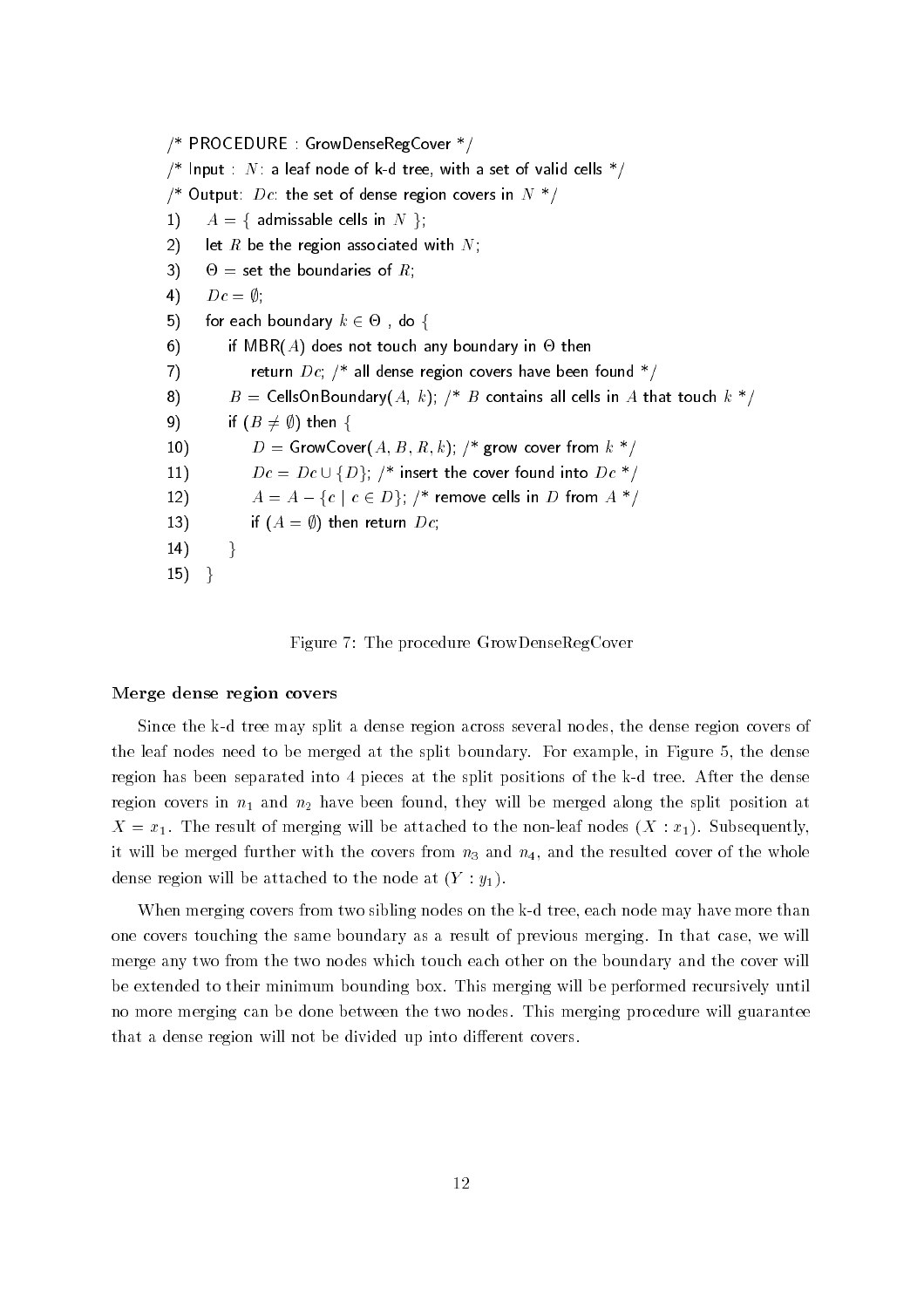$\gamma$  PROCEDURE GROWDERSEREGCOVER  $\gamma$  $\mu$  -input  $N$  a leaf node of K-d tree, with a set of valid cells  $\mu$  $\overline{D}$  . Output  $\overline{D}$  c the set of dense region covers in  $N$  $1)$  $A = \{$  admissable cells in  $N \};$  $2)$ let  $R$  be the region associated with  $N$ ;  $3)$  $\Theta =$  set the boundaries of R:  $4)$  $Dc = \emptyset$ ;  $5)$ for each boundary  $k \in \Theta$ , do {  $6)$ if MBR(A) does not touch any boundary in  $\Theta$  then  $7)$  $r$  return  $D\epsilon$ ,  $r$  an dense region covers have been found  $r$ 8)  $D = \mathbb{C}$ chs $\mathbb{C}$ nboundary $\{A, \, k\}$  /  $D$  contains an cens in A that touch  $\kappa$  /  $9)$ if  $(B \neq \emptyset)$  then {  $10)$  $D =$  GrowCover( $A, D, u, \kappa$ ),  $\gamma$  grow cover from  $\kappa$  $11)$  $D = \text{GrowCover}$ <br> $Dc = Dc \cup \{D\}$  $\sim$  msert the cover found into  $Dc$  $12)$  $Dc = Dc \cup \{D\};$  /\* in<br>  $A = A - \{c \mid c \in D\};$  $\mu$  - remove cens in  $D$  from  $A$  -  $\mu$ 13) if  $(A = \emptyset)$  then return  $Dc$ ;  $14)$  $\}$  $15)$  }



#### Merge dense region covers

Since the k-d tree may split a dense region across several nodes the dense region covers of the leaf nodes need to be merged at the split boundary. For example, in Figure 5, the dense region has been separated into pieces at the split positions of the k-d tree After the dense region covers in 11 and 11, and 12 and 12 and 12 and 12 and 22 and 2014 at merged and split position at re and the result of merging will be attached to the node from the state  $\{z_1, \ldots, z_{n-1}\}$ it will be merged further with the covers from  $n_3$  and  $n_4$ , and the resulted cover of the whole dense region will be attached to the node at  $(Y : y_1)$ .

when merging covers from two sibling nodes on the k-called nodes on the more than  $\alpha$ one covers touching the same boundary as a result of previous merging. In that case, we will merge any two from the two nodes which touch each other on the boundary and the cover will be extended to their minimum bounding box This merging will be performed recursively until no more merging can be done between the two nodes This merging procedure will guarantee that a dense region will not be divided up into different covers.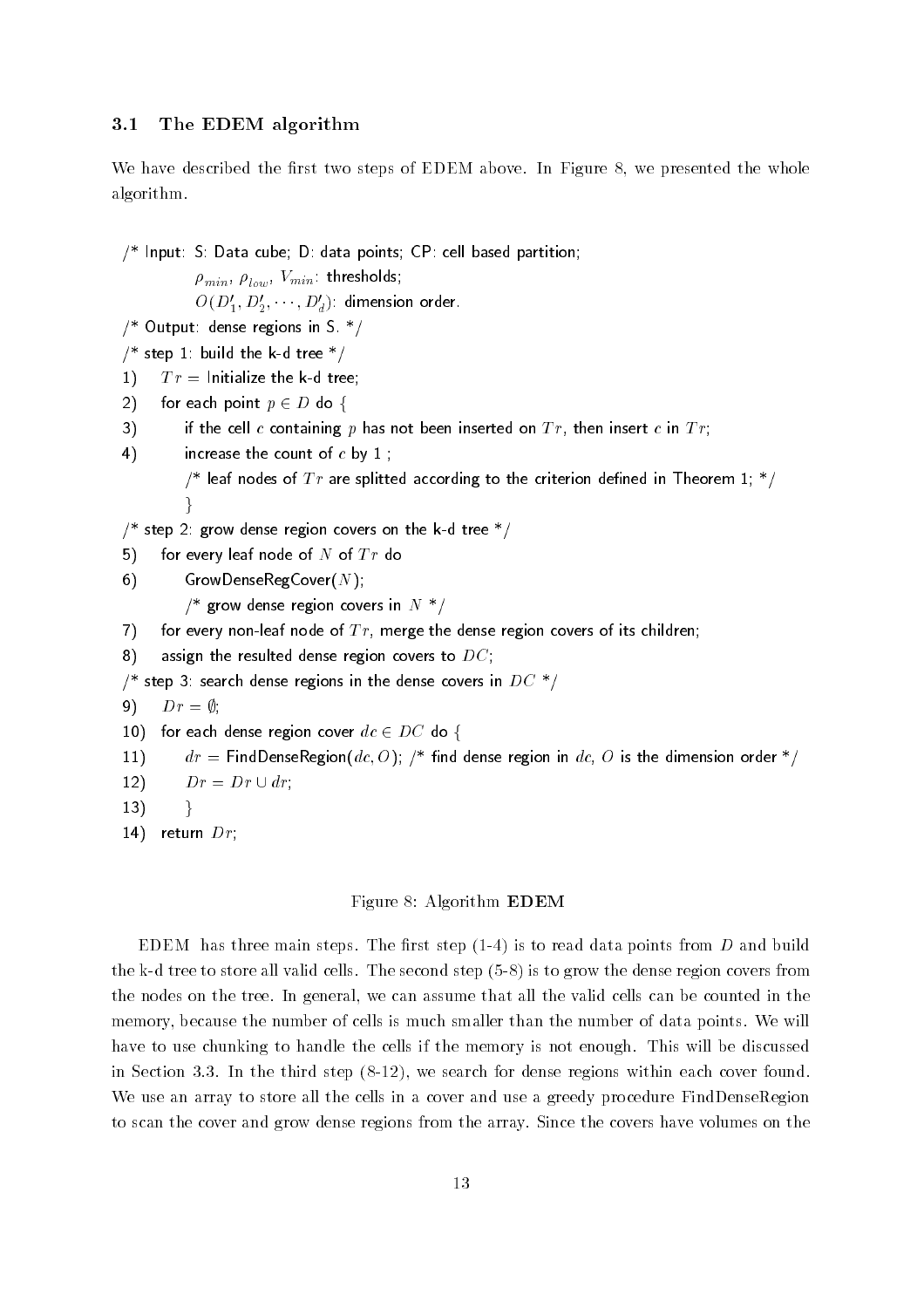#### 3.1 The EDEM algorithm

We have described the first two steps of EDEM above. In Figure 8, we presented the whole algorithm

- Input S Data cube D data points CP cell based partition

 $\mu_{min}$ ,  $\mu_{low}$ ,  $\mu_{min}$ , incondus,

 $O(D_1',D_2',\cdots,D_d')$  dimension order

- $\sim$  Output dense regions in  $\sim$
- $\frac{1}{2}$  step 1. build the K a tree  $\frac{1}{2}$
- $|1\rangle$  $Tr =$  Initialize the k-d tree;
- 2) for each point  $p \in D$  do {

3) if the cell c containing p has not been inserted on  $Tr$ , then insert c in  $Tr$ ;

 $4)$ increase the count of  $c$  by  $1$ ;

> $\mu$  real nodes of  $I$  r are spittled according to the criterion denned in Theorem 1,  $\mu$  $\}$

 $\sim$  step  $\angle$  . Enow dense region covers on the K-d tree  $\sim$  /

 $5)$ for every leaf node of  $N$  of  $Tr$  do

6) GrowDenseRegCover( $N$ );

 $\mu$  - grow dense region covers in  $\mu$  -  $\mu$ 

7) for every non-leaf node of  $Tr$ , merge the dense region covers of its children;

8) assign the resulted dense region covers to  $DC$ ;

 $\sim$  step 5. search dense regions in the dense covers in  $D\cup\sim$ 

 $9)$  $Dr = \emptyset$ :

10) for each dense region cover 
$$
dc \in DC
$$
 do  $\{$ 

 $11)$  $a_t = 1$  madenselvegion( $ac, O$ ),  $\mu$  and dense region in  $ac, O$  is the dimension order  $\mu$ 

- $12)$  $Dr = Dr \cup dr$ ;
- $13)$
- return Dr

 $\}$ 

#### Figure 8: Algorithm **EDEM**

edem the steps three steps that the reading  $\mathfrak{p}$  , the radiation points from D and B and B and B the k-d tree to store all valid cells The second step - is to grow the dense region covers from the nodes on the tree. In general, we can assume that all the valid cells can be counted in the memory, because the number of cells is much smaller than the number of data points. We will have to use chunking to handle the cells if the memory is not enough This will be discussed in step - the third step - the third step - the third step - the step - the step - the step - the step - the s We use an array to store all the cells in a cover and use a greedy procedure FindDenseRegion to scan the cover and grow dense regions from the array Since the covers have volumes on the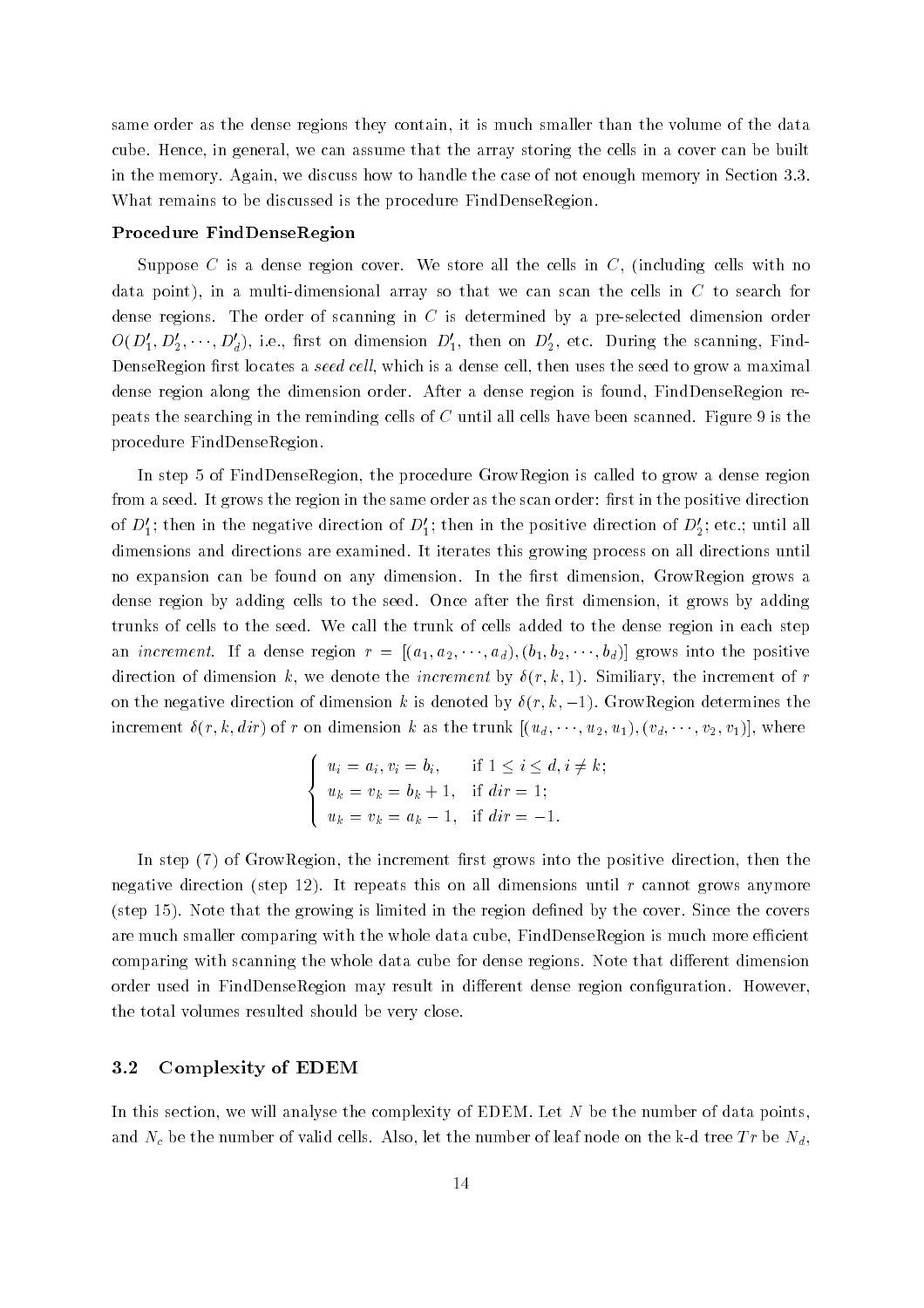same order as the dense regions they contain, it is much smaller than the volume of the data cube. Hence, in general, we can assume that the array storing the cells in a cover can be built in the memory Again we discuss how to handle the case of not enough memory in Section   What remains to be discussed is the procedure FindDenseRegion.

#### Procedure FindDenseRegion

Suppose C is a dense region cover. We store all the cells in  $C$ , (including cells with no data point in a multi-dimensional array so that we can scan the cells in C to search for dense regions The order of scanning in C is determined by a pre-selected dimension order  $O(D_1',D_2',\cdots,D_d') ,$  i.e., first on dimension  $D_1',$  then on  $D_2',$  etc. During the scanning, Find-DenseRegion first locates a seed cell, which is a dense cell, then uses the seed to grow a maximal dense region along the dimension order. After a dense region is found, FindDenseRegion repeats the searching in the reminding cells of  $C$  until all cells have been scanned. Figure 9 is the procedure FindDenseRegion

In step 5 of FindDenseRegion, the procedure GrowRegion is called to grow a dense region from a seed. It grows the region in the same order as the scan order: first in the positive direction of  $\nu_1$ ; then in the negative direction of  $\nu_1$ ; then in the positive direction of  $\nu_2$ ; etc.; until all dimensions and directions are examined It iterates this growing process on all directions until no expansion can be found on any dimension. In the first dimension, GrowRegion grows a dense region by adding cells to the seed. Once after the first dimension, it grows by adding trunks of cells to the seed We call the trunk of cells added to the dense region in each step an *increment*. If a dense region  $r = [(a_1, a_2, \cdots, a_d), (b_1, b_2, \cdots, b_d)]$  grows into the positive direction of dimension  $d-1$  and increment by r-similiary the increment of region  $d-1$ on the negative direction of dimension k is denoted by  $\delta(r, k, -1)$ . GrowRegion determines the increment  $\delta(r, k, dir)$  of r on dimension k as the trunk  $[(u_d, \dots, u_2, u_1), (v_d, \dots, v_2, v_1)]$ , where

$$
\begin{cases}\n u_i = a_i, v_i = b_i, & \text{if } 1 \le i \le d, i \ne k; \\
 u_k = v_k = b_k + 1, & \text{if } dir = 1; \\
 u_k = v_k = a_k - 1, & \text{if } dir = -1.\n\end{cases}
$$

In step  $(7)$  of GrowRegion, the increment first grows into the positive direction, then the negative direction (step 12). It repeats this on all dimensions until r cannot grows anymore  $(s_{\text{step 15}})$ . Note that the growing is limited in the region defined by the cover. Since the covers are much smaller comparing with the whole data cube, FindDenseRegion is much more efficient comparing with scanning the whole data cube for dense regions. Note that different dimension order used in FindDenseRegion may result in different dense region configuration. However, the total volumes resulted should be very close

#### 3.2 Complexity of EDEM

In this section, we will analyse the complexity of EDEM. Let  $N$  be the number of data points, and the the number of the number of let the number of let the number of let the k-th and the k-th and the k-d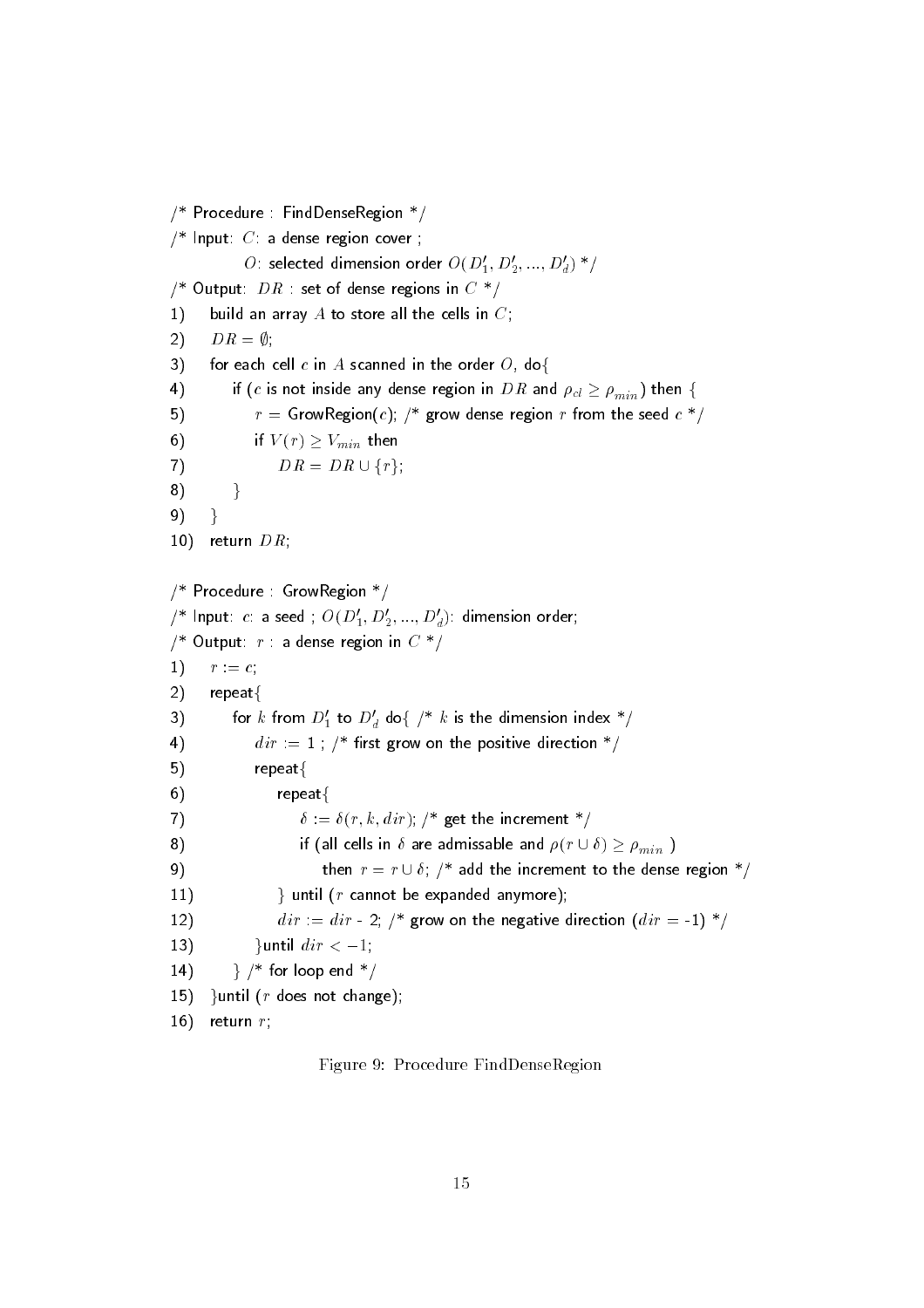$\gamma$  - Fig. Fig. Find Denseregion -  $\gamma$  $\sim$  Input  $\sim$  a dense region cover,  $O$  : selected dimension order  $O(\bar{\nu}_1,\bar{\nu}_2,...,\bar{\nu}_d)$  "/  $\overline{D}$  . Output  $\overline{D}$   $\overline{R}$  set of dense regions in  $\overline{C}$  . The contract of  $\overline{D}$  $1)$ build an array  $A$  to store all the cells in  $C$ ;  $2)$  $DR = \emptyset$ :  $3)$ for each cell c in A scanned in the order  $O$ , do {  $4)$ if (c is not inside any dense region in DR and  $\rho_{cl} \ge \rho_{min}$ ) then {  $5)$  $r = 0$ rownegionch,  $r = 0$ row dense region  $r = 0$  $6)$ if  $V(r) \geq V_{min}$  then  $7)$ if  $V(r) \geq V_{min}$  then<br> $DR = DR \cup \{r\}.$  $8)$  $\}$ 9)  $\}$  $10)$ return  $DR$ ;  $\gamma$  rocedure Growing gion  $\gamma$  $U^*$  input:  $c$ : a seed ;  $U(D_1, D_2, ..., D_d)$ : dimension order;  $\sim$  Output  $\sim$  a dense region in  $\sim$   $\sim$  $|1\rangle$  $r := c$ ;  $2)$ repeat $\{$ 3) - for  $k$  from  $D_1'$  to  $D_d'$  do $\{$   $\nmid^* k$  is the dimension index  $*/$  $4)$  $a \iota \iota$   $\mu$  instrument on the positive direction  $\mu$  $5)$  $repeated$  $6)$ repeat $\{$  $\left( 7\right)$  $v := v(t, \kappa, u(t)),$  get the increment  $t$  $8)$ if (all cells in  $\delta$  are admissable and  $\rho(r \cup \delta) \geq \rho_{min}$ )  $9)$ then  $r = r \cup \delta$ : /\* add the increment to the dense region \*/  $11)$ } until ( $r$  cannot be expanded anymore); <sup>12</sup>  $a_{\ell\ell} = a_{\ell\ell} - z$ .  $\ell$  , end we directed the controll from  $z = 1$  ,  $\ell$  $13)$ }until  $dir < -1$ ;  $14)$  $\rightarrow$  /\* for loop end  $*/$  $15)$ } until ( $r$  does not change);  $16)$ return  $r$ ;

Figure 9: Procedure FindDenseRegion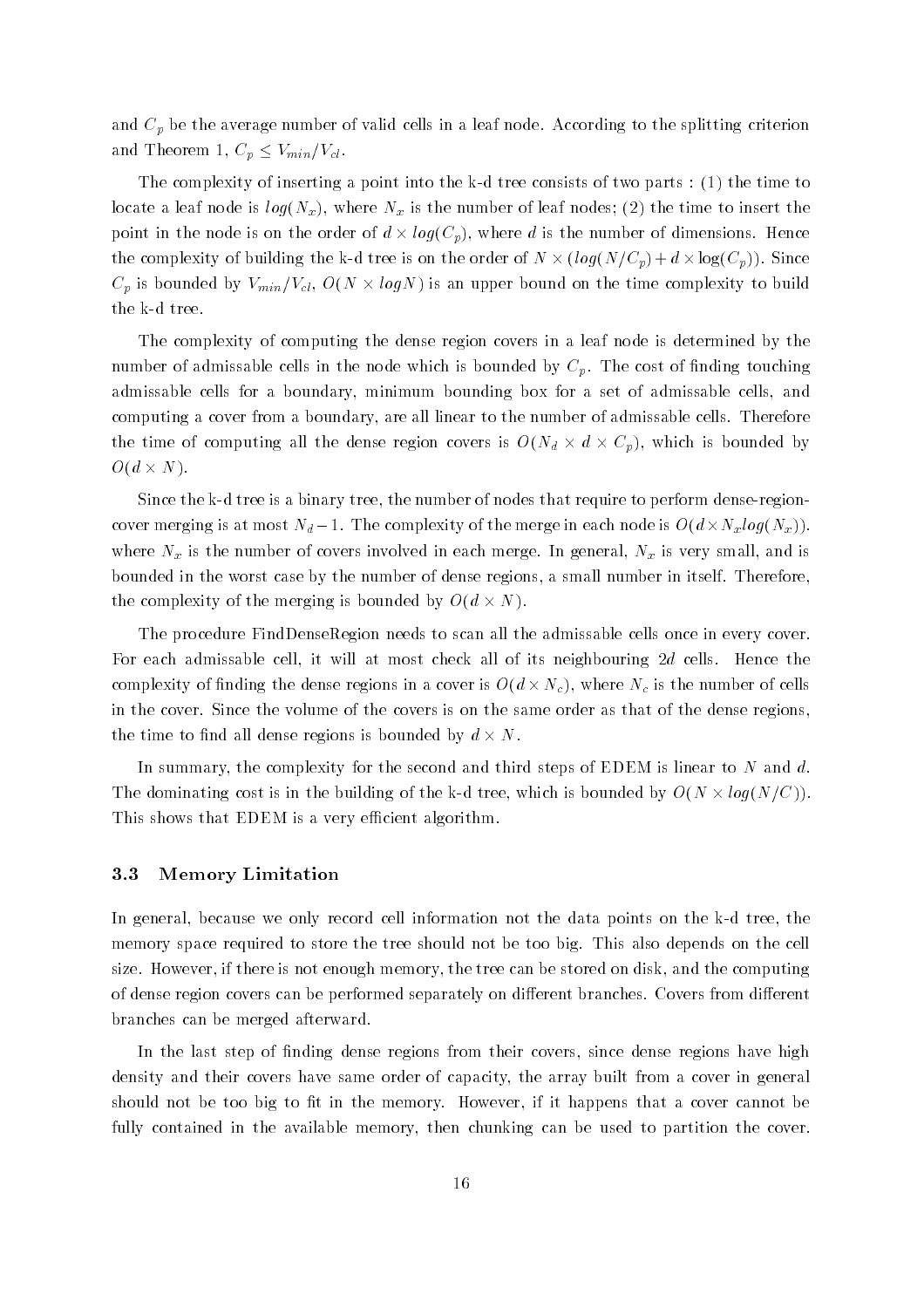and  $C_p$  be the average number of valid cells in a leaf node. According to the splitting criterion and Theorem 1,  $C_p \leq V_{min}/V_{cl}$ .

the complexity of inserting a point into the k-time consists of the time  $\mu$  as  $\tau$  ,  $\tau$  , and the time to locate a leaf node is  $log(N_x)$ , where  $N_x$  is the number of leaf nodes; (2) the time to insert the point in the node is on the order of  $d \times log(C_p)$ , where d is the number of dimensions. Hence the complexity of building the k-d tree is on the order of  $N \times (log(N/C_p) + d \times log(C_p))$ . Since  $C_p$  is bounded by  $V_{min}/V_{cl}$ ,  $O(N \times logN)$  is an upper bound on the time complexity to build

The complexity of computing the dense region covers in a leaf node is determined by the number of admissable cells in the node which is bounded by  $C_p$ . The cost of finding touching admissable cells for a boundary, minimum bounding box for a set of admissable cells, and computing a cover from a boundary, are all linear to the number of admissable cells. Therefore the time of computing all the dense region covers is  $O(N_d \times d \times C_p)$ , which is bounded by  $O(d \times N)$ .

Since the k-d tree is a binary tree the number of nodes that require to perform dense-regioncover merging is at most  $N_d - 1$ . The complexity of the merge in each node is  $O(d \times N_x log(N_x))$ . where  $N_x$  is the number of covers involved in each merge. In general,  $N_x$  is very small, and is bounded in the worst case by the number of dense regions a small number in itself Therefore the complexity of the merging is bounded by  $O(d \times N)$ .

The procedure FindDenseRegion needs to scan all the admissable cells once in every cover For each admissable cell, it will at most check all of its neighbouring  $2d$  cells. Hence the complexity of finding the dense regions in a cover is  $O(d \times N_c)$ , where  $N_c$  is the number of cells in the cover Since the volume of the covers is on the same order as that of the dense regions the time to find all dense regions is bounded by  $d \times N$ .

In summary, the complexity for the second and third steps of EDEM is linear to  $N$  and  $d$ . The dominating cost is in the building of the k-d tree, which is bounded by  $O(N \times log(N/C))$ . This shows that EDEM is a very efficient algorithm.

## Memory Limitation

In general because we only record cell information not the data points on the k-d tree the memory space required to store the tree should not be too big This also depends on the cell size. However, if there is not enough memory, the tree can be stored on disk, and the computing of dense region covers can be performed separately on different branches. Covers from different branches can be merged afterward

In the last step of finding dense regions from their covers, since dense regions have high density and their covers have same order of capacity, the array built from a cover in general should not be too big to fit in the memory. However, if it happens that a cover cannot be fully contained in the available memory, then chunking can be used to partition the cover.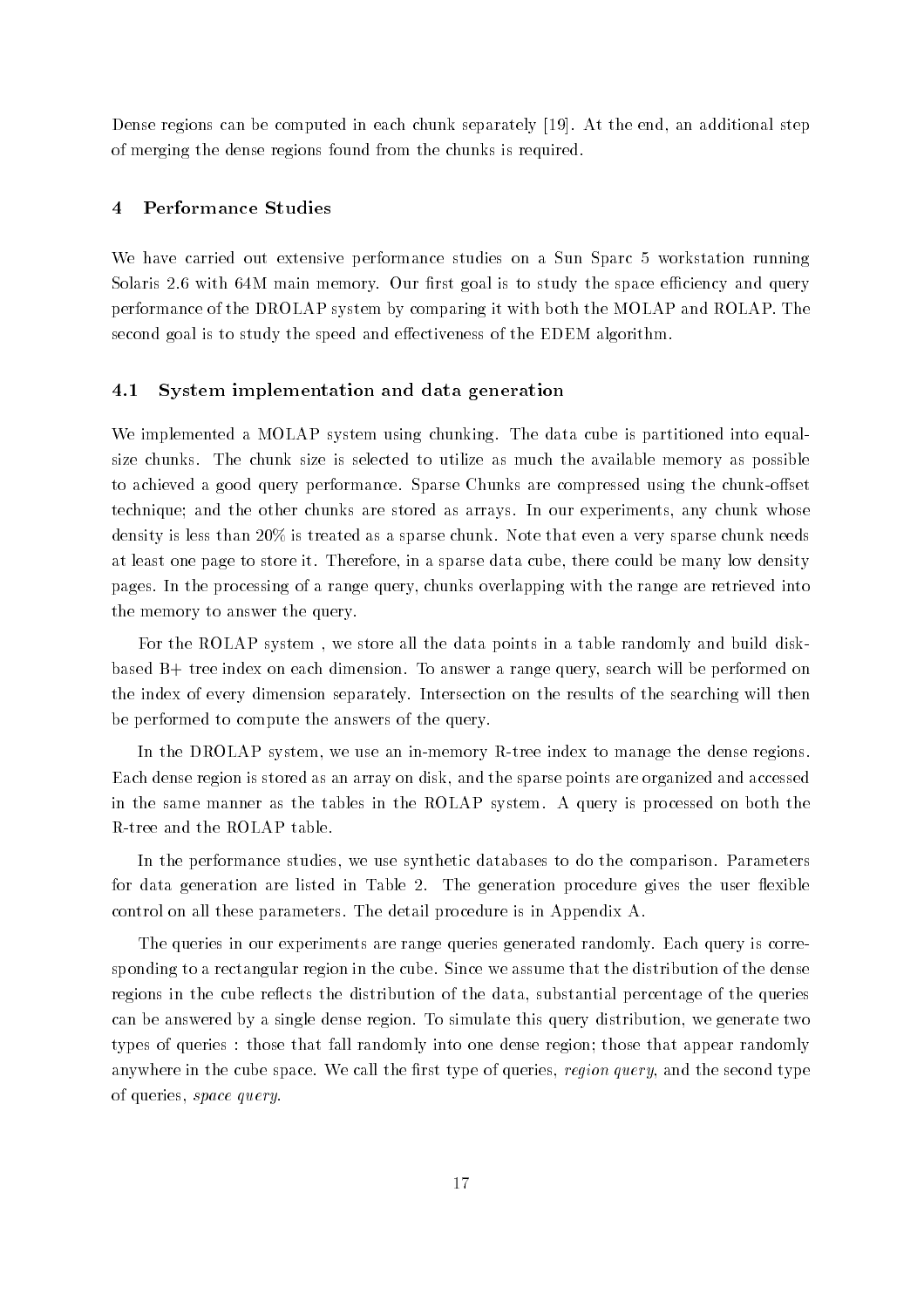Dense regions can be computed in each chunk separately  $[19]$ . At the end, an additional step of merging the dense regions found from the chunks is required

## Performance Studies

We have carried out extensive performance studies on a Sun Sparc 5 workstation running Solaris 2.6 with 64M main memory. Our first goal is to study the space efficiency and query performance of the DROLAP system by comparing it with both the MOLAP and ROLAP The second goal is to study the speed and effectiveness of the EDEM algorithm.

### 4.1 System implementation and data generation

We implemented a MOLAP system using chunking. The data cube is partitioned into equalsize chunks The chunk size is selected to utilize as much the available memory as possible to achieved a good query performance Sparse Chunks are compressed using the chunk-oset technique; and the other chunks are stored as arrays. In our experiments, any chunk whose density is less than  $20\%$  is treated as a sparse chunk. Note that even a very sparse chunk needs at least one page to store it. Therefore, in a sparse data cube, there could be many low density pages In the processing of a range query chunks overlapping with the range are retrieved into the memory to answer the query

For the ROLAP system, we store all the data points in a table randomly and build diskbased B+ tree index on each dimension. To answer a range query, search will be performed on the index of every dimension separately Intersection on the results of the searching will then be performed to compute the answers of the query

In the DROLAP system we use an in-memory R-tree index to manage the dense regions Each dense region is stored as an array on disk and the sparse points are organized and accessed in the same manner as the tables in the ROLAP system A query is processed on both the

In the performance studies, we use synthetic databases to do the comparison. Parameters for data generation are listed in Table 2. The generation procedure gives the user flexible control on all these parameters The detail procedure is in Appendix A

The queries in our experiments are range queries generated randomly Each query is corresponding to a rectangular region in the cube Since we assume that the distribution of the dense regions in the cube reflects the distribution of the data, substantial percentage of the queries can be answered by a single dense region. To simulate this query distribution, we generate two types of queries : those that fall randomly into one dense region; those that appear randomly anywhere in the cube space. We call the first type of queries, region query, and the second type of queries, space query.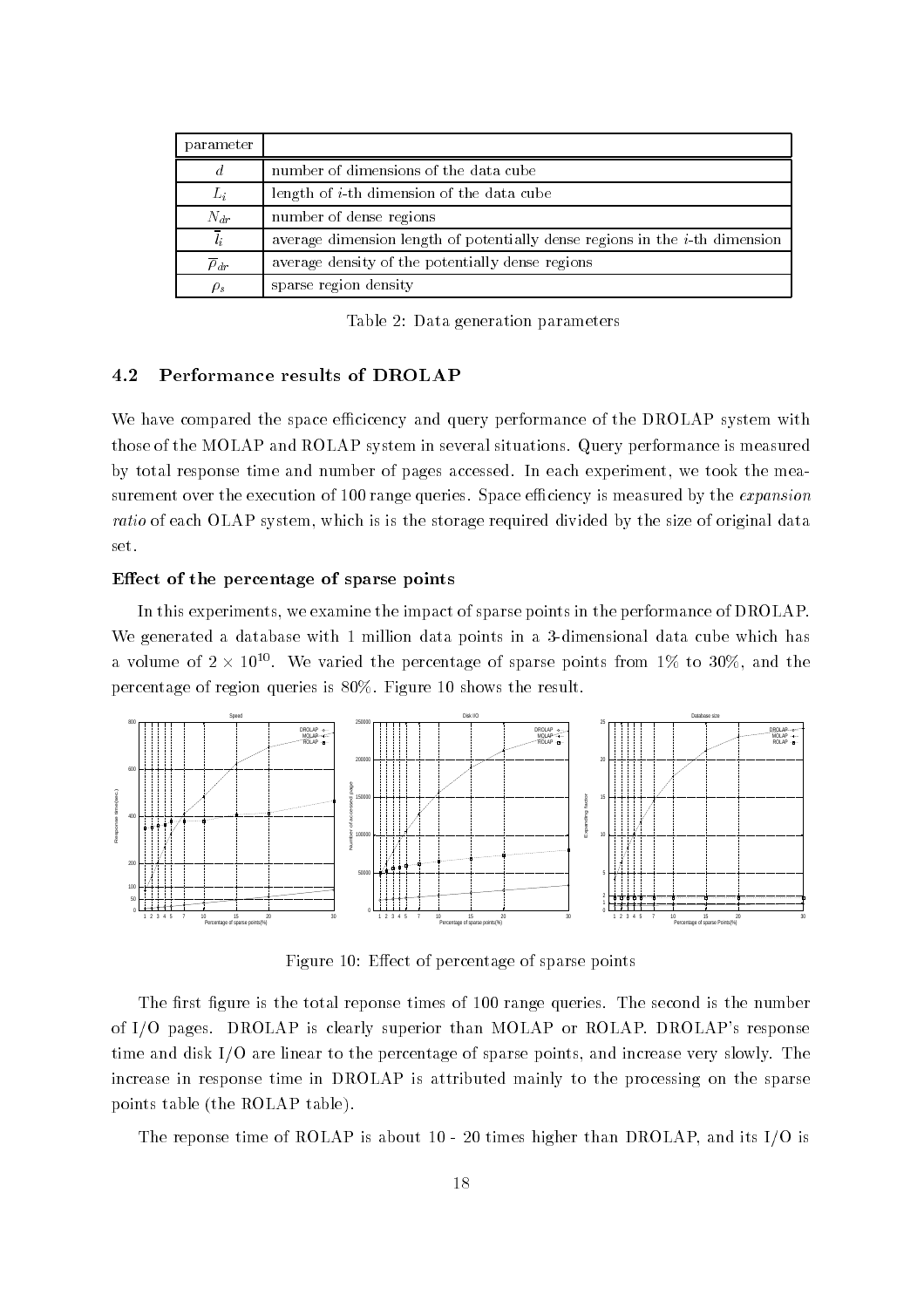| parameter              |                                                                                |
|------------------------|--------------------------------------------------------------------------------|
| $\overline{d}$         | number of dimensions of the data cube                                          |
| $L_i$                  | length of $i$ -th dimension of the data cube                                   |
| $N_{dr}$               | number of dense regions                                                        |
| $l_{i}$                | average dimension length of potentially dense regions in the $i$ -th dimension |
| $\overline{\rho}_{dr}$ | average density of the potentially dense regions                               |
| $\rho_s$               | sparse region density                                                          |

Table 2: Data generation parameters

#### 4.2 Performance results of DROLAP

We have compared the space efficicency and query performance of the DROLAP system with those of the MOLAP and ROLAP system in several situations Query performance is measured by total response time and number of pages accessed. In each experiment, we took the measurement over the execution of 100 range queries. Space efficiency is measured by the *expansion* ratio of each OLAP system, which is is the storage required divided by the size of original data set

#### Effect of the percentage of sparse points

In this experiments, we examine the impact of sparse points in the performance of DROLAP. with generated a database with dimensional database points in a dimensional data cube which has de a volume of  $2 \times 10^{10}$ . We varied the percentage of sparse points from 1\% to 30\%, and the percentage of region queries is  $80\%$ . Figure 10 shows the result.



Figure 10: Effect of percentage of sparse points

The first figure is the total reponse times of 100 range queries. The second is the number of I/O pages. DROLAP is clearly superior than MOLAP or ROLAP. DROLAP's response time and disk  $I/O$  are linear to the percentage of sparse points, and increase very slowly. The increase in response time in DROLAP is attributed mainly to the processing on the sparse points table (the ROLAP table).

the reponse time of ROLAP is about 20 times in Andrew Strains and its International and its IO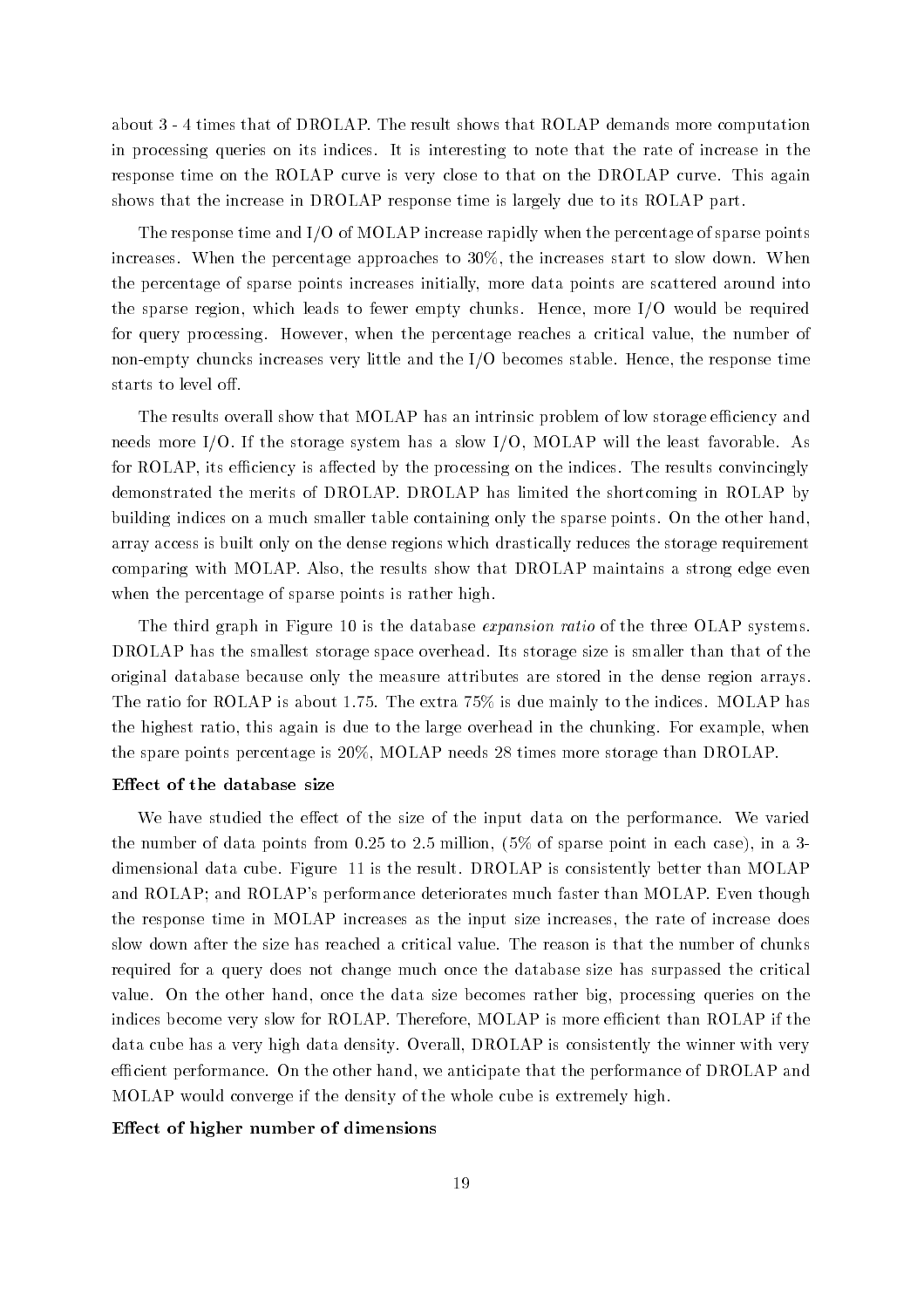about the result shows that of DROLAP that the result shows that results more computations are computations of in processing queries on its indices It is interesting to note that the rate of increase in the response time on the ROLAP curve is very close to that on the DROLAP curve This again shows that the increase in DROLAP response time is largely due to its ROLAP part

The response time and I/O of MOLAP increase rapidly when the percentage of sparse points increases When the percentage approaches to the increases start to slow down When the percentage of sparse points increases initially, more data points are scattered around into the sparse region, which leads to fewer empty chunks. Hence, more  $I/O$  would be required for query processing. However, when the percentage reaches a critical value, the number of non-empty chuncks increases very little and the IO becomes stable Hence the response time starts to level o

The results overall show that MOLAP has an intrinsic problem of low storage efficiency and needs more I/O. If the storage system has a slow  $I/O$ , MOLAP will the least favorable. As for ROLAP, its efficiency is affected by the processing on the indices. The results convincingly demonstrated the merits of DROLAP. DROLAP has limited the shortcoming in ROLAP by building indices on a much smaller table containing only the sparse points. On the other hand. array access is built only on the dense regions which drastically reduces the storage requirement comparing with MOLAP. Also, the results show that DROLAP maintains a strong edge even when the percentage of sparse points is rather high.

The third graph in Figure 10 is the database *expansion ratio* of the three OLAP systems. DROLAP has the smallest storage space overhead. Its storage size is smaller than that of the original database because only the measure attributes are stored in the dense region arrays The ratio for ROLAP is about 1.75. The extra  $75\%$  is due mainly to the indices. MOLAP has the highest ratio, this again is due to the large overhead in the chunking. For example, when the spare points percentage is  $20\%$ , MOLAP needs 28 times more storage than DROLAP.

#### Effect of the database size

We have studied the effect of the size of the input data on the performance. We varied the number of data points from  $\mathbb{R}^n$  to  $\mathbb{R}^n$  . The space in each case in each case in each case in a space in each case in each case in each case in each case in  $\mathbb{R}^n$ dimensional data cube. Figure 11 is the result. DROLAP is consistently better than MOLAP and ROLAP; and ROLAP's performance deteriorates much faster than MOLAP. Even though the response time in MOLAP increases as the input size increases the rate of increase does slow down after the size has reached a critical value The reason is that the number of chunks required for a query does not change much once the database size has surpassed the critical value. On the other hand, once the data size becomes rather big, processing queries on the indices become very slow for ROLAP. Therefore, MOLAP is more efficient than ROLAP if the data cube has a very high data density. Overall, DROLAP is consistently the winner with very efficient performance. On the other hand, we anticipate that the performance of DROLAP and MOLAP would converge if the density of the whole cube is extremely high

## Effect of higher number of dimensions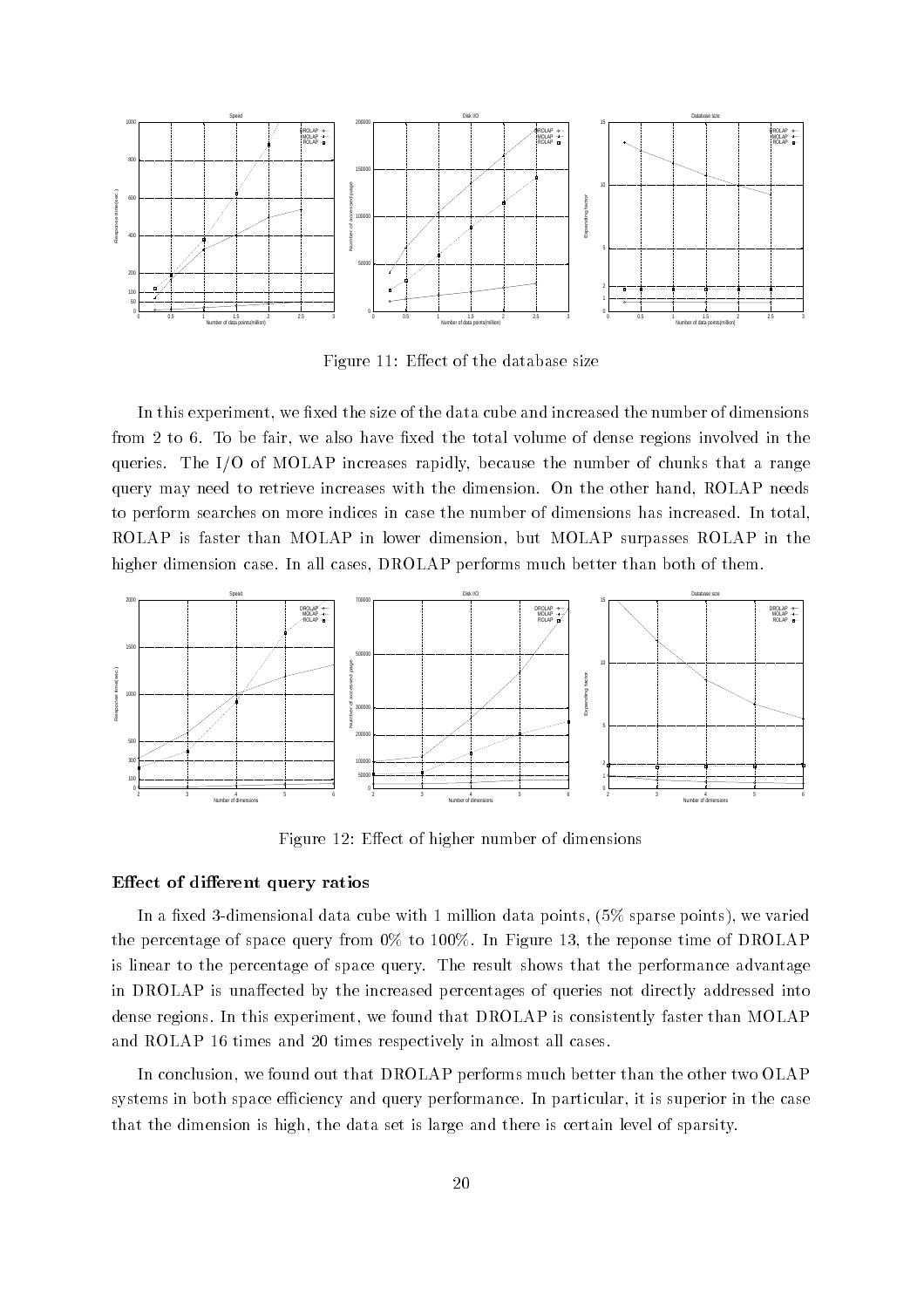

Figure 11: Effect of the database size

In this experiment, we fixed the size of the data cube and increased the number of dimensions from 2 to 6. To be fair, we also have fixed the total volume of dense regions involved in the queries. The I/O of MOLAP increases rapidly, because the number of chunks that a range query may need to retrieve increases with the dimension. On the other hand, ROLAP needs to perform searches on more indices in case the number of dimensions has increased In total ROLAP is faster than MOLAP in lower dimension but MOLAP surpasses ROLAP in the higher dimension case. In all cases, DROLAP performs much better than both of them.



Figure 12: Effect of higher number of dimensions

#### Effect of different query ratios

In a xed -dimensional data cube with million data points sparse points we varied the percentage of space  $\mathcal{L}_1$  is a space of DROLAP of DROLAP in Figure 1. In Figure 1. In Figure 1. In Figure 1. In Figure 1. In Figure 1. In Figure 1. In Figure 1. In Figure 1. In Figure 1. In Figure 1. In Figure 1. I is linear to the percentage of space query The result shows that the performance advantage in DROLAP is unaffected by the increased percentages of queries not directly addressed into dense regions. In this experiment, we found that DROLAP is consistently faster than MOLAP and ROLAP 16 times and 20 times respectively in almost all cases.

In conclusion, we found out that DROLAP performs much better than the other two OLAP systems in both space efficiency and query performance. In particular, it is superior in the case that the dimension is high, the data set is large and there is certain level of sparsity.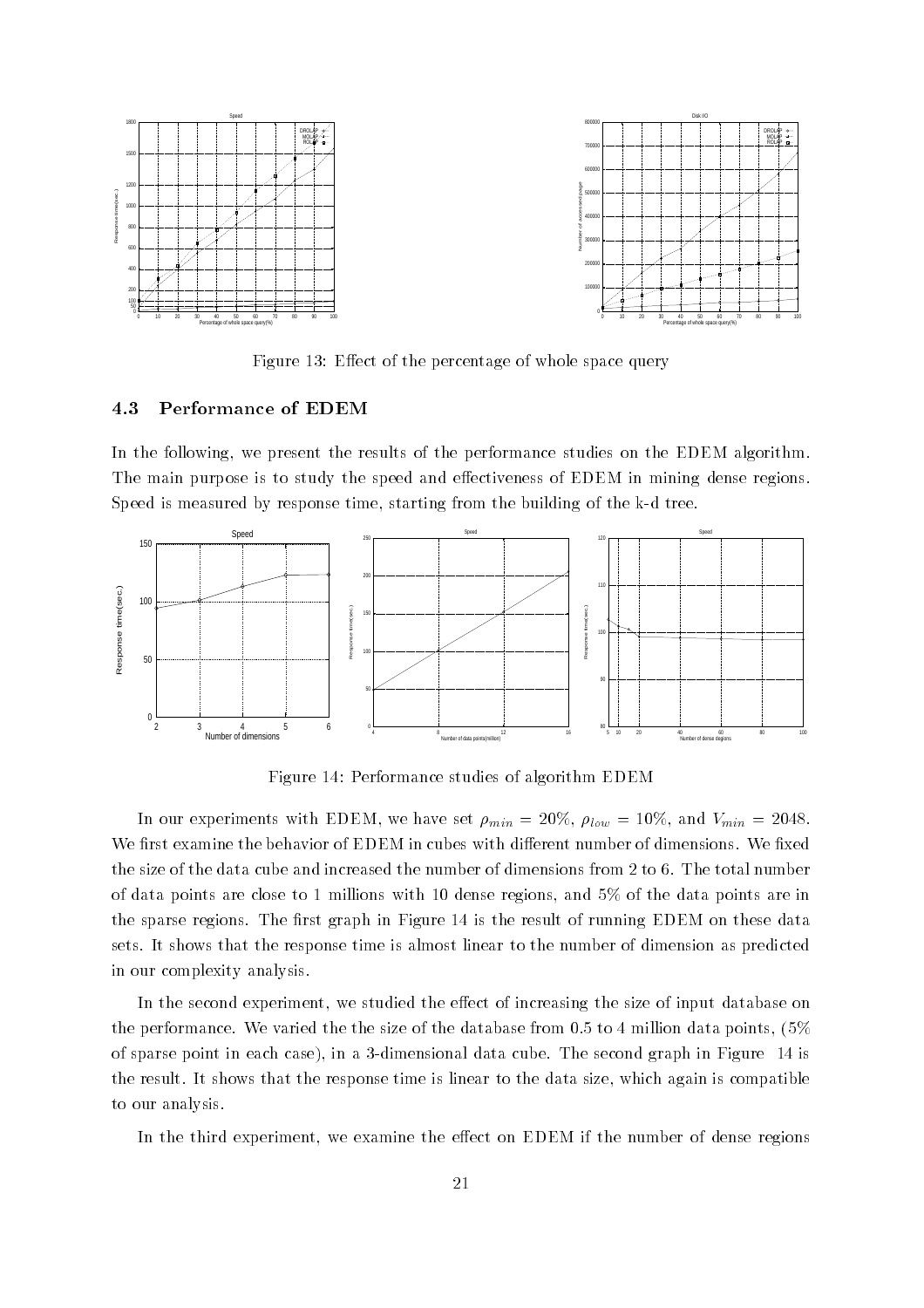

Figure Eect of the percentage of whole space query

#### Performance of EDEM

In the following, we present the results of the performance studies on the EDEM algorithm. The main purpose is to study the speed and effectiveness of EDEM in mining dense regions.  $S$  is measured by response time starting from the building from the building from the building of the k-tree building of the k-tree building from the k-tree building of the k-tree building  $\alpha$ 



Figure 14: Performance studies of algorithm EDEM

In our experiments with EDEM, we have set  $\rho_{min} = 20\%, \rho_{low} = 10\%, \text{ and } V_{min} = 2048$ . We first examine the behavior of EDEM in cubes with different number of dimensions. We fixed the size of the data cube and increased the number of dimensions from 2 to 6. The total number of data points are close to 1 millions with 10 dense regions, and  $5\%$  of the data points are in the sparse regions. The first graph in Figure 14 is the result of running EDEM on these data sets It shows that the response time is almost linear to the number of dimension as predicted in our complexity analysis

In the second experiment, we studied the effect of increasing the size of input database on the performance. We varied the the size of the database from 0.5 to 4 million data points,  $(5\%$ of sparse point in each case  $\mu$  in a minimum in a second collection of  $\Lambda$  separate  $\Lambda$  and  $\mu$ the result. It shows that the response time is linear to the data size, which again is compatible to our analysis

In the third experiment, we examine the effect on EDEM if the number of dense regions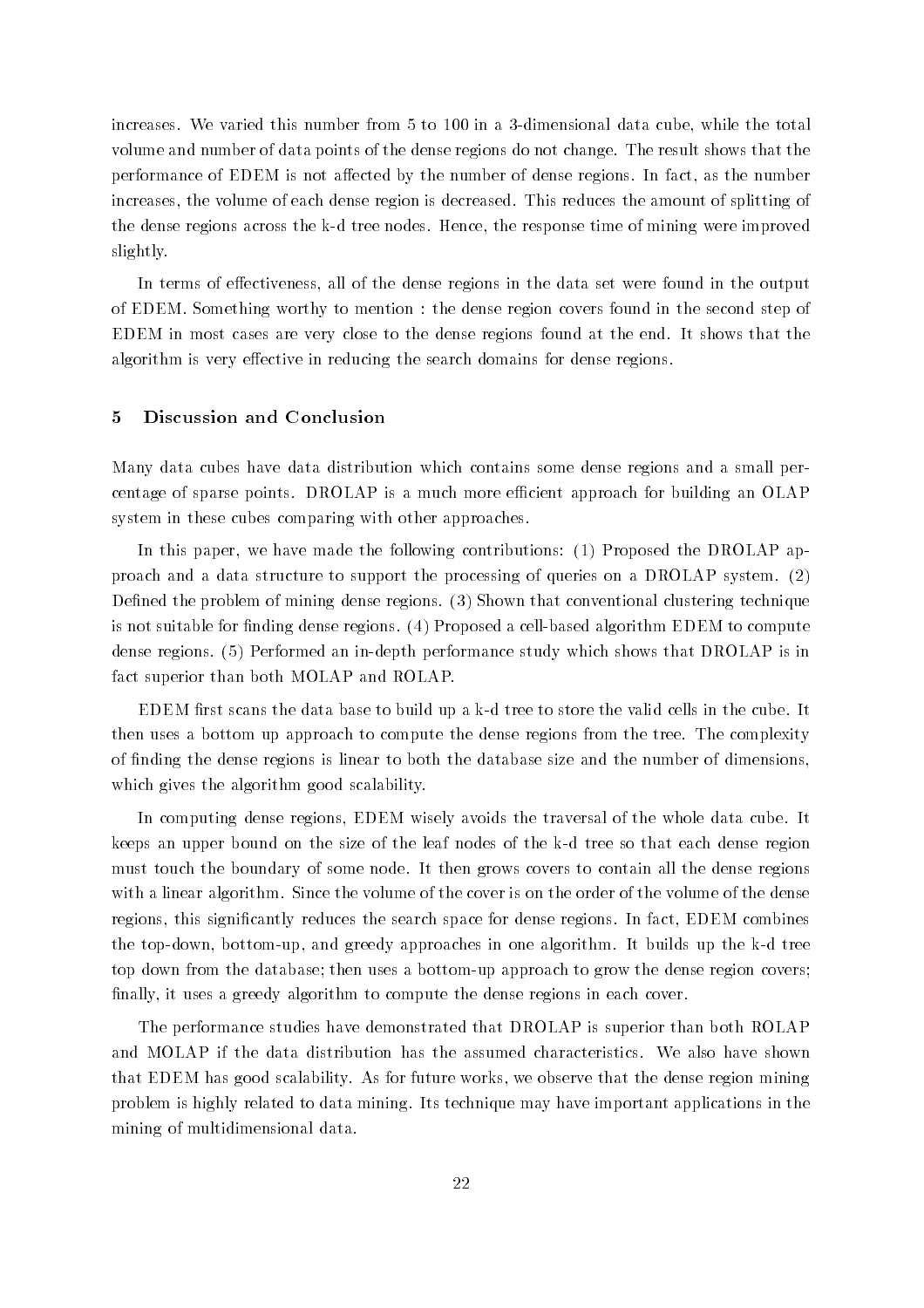increases which we vanish this number from the total data cube which are the total data cube which the total o volume and number of data points of the dense regions do not change The result shows that the performance of EDEM is not affected by the number of dense regions. In fact, as the number increases the volume of each dense region is decreased This reduces the amount of splitting of the dense regions across the k-d tree nodes Hence the response time of mining were improved slightly

In terms of effectiveness, all of the dense regions in the data set were found in the output of EDEM. Something worthy to mention : the dense region covers found in the second step of EDEM in most cases are very close to the dense regions found at the end It shows that the algorithm is very effective in reducing the search domains for dense regions.

#### Discussion and Conclusion

Many data cubes have data distribution which contains some dense regions and a small percentage of sparse points. DROLAP is a much more efficient approach for building an OLAP system in these cubes comparing with other approaches

In this paper, we have made the following contributions:  $(1)$  Proposed the DROLAP approach and a data structure to support the processing of queries on a DROLAP system Dened the problem of mining dense regions Shown that conventional clustering technique is not suitable for not suitable for  $\mathbb{R}$  . The cell-computer algorithm EDEM to compute  $\mathbb{R}$ dense regions Performed an in-depth performance study which shows that DROLAP is in fact superior than both MOLAP and ROLAP

EDEM rst scans the data base to build up a k-d tree to build up a k-d tree to store the valid cells in the cube then uses a bottom up approach to compute the dense regions from the tree The complexity of nding the dense regions is linear to both the database size and the number of dimensions which gives the algorithm good scalability.

In computing dense regions, EDEM wisely avoids the traversal of the whole data cube. It keeps an upper bound on the size of the leaf nodes of the k-d tree so that each dense region must touch the boundary of some node It then grows covers to contain all the dense regions with a linear algorithm. Since the volume of the cover is on the order of the volume of the dense regions, this significantly reduces the search space for dense regions. In fact, EDEM combines the top-down, worrest up, which goesn's up positions in one angularithment of algorithment up the control of top down from the database then uses a bottom-up approach to grow the dense region covers finally, it uses a greedy algorithm to compute the dense regions in each cover.

The performance studies have demonstrated that DROLAP is superior than both ROLAP and MOLAP if the data distribution has the assumed characteristics We also have shown that EDEM has good scalability. As for future works, we observe that the dense region mining problem is highly related to data mining Its technique may have important applications in the mining of multidimensional data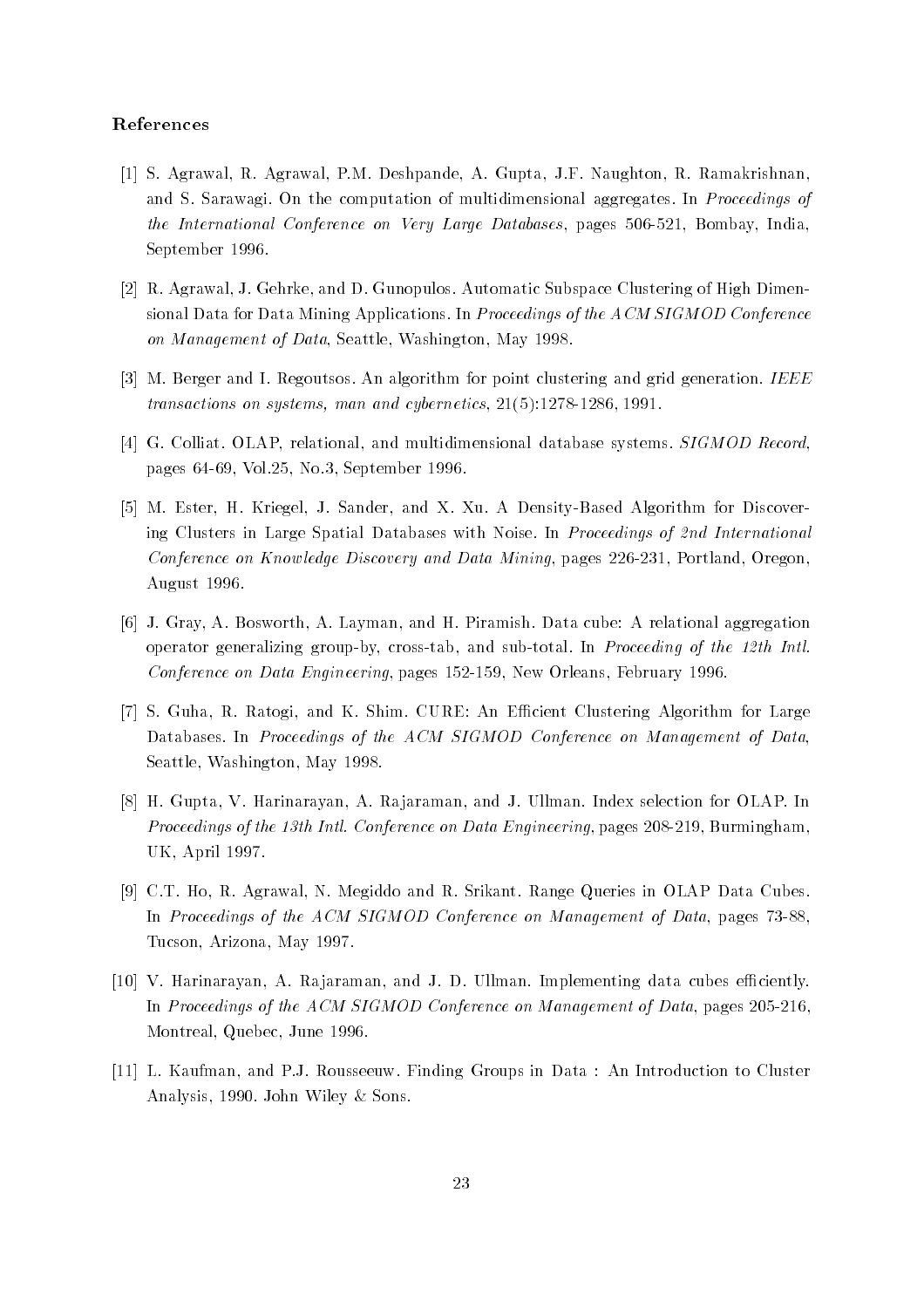## References

- [1] S. Agrawal, R. Agrawal, P.M. Deshpande, A. Gupta, J.F. Naughton, R. Ramakrishnan, and S. Sarawagi. On the computation of multidimensional aggregates. In *Proceedings of* the International Conference on Very Lawrence Databases pages of Largest Databases parameters September 1996.
- [2] R. Agrawal, J. Gehrke, and D. Gunopulos. Automatic Subspace Clustering of High Dimensional Data for Data Mining Applications In Proceedings of the ACM SIGMOD Conference on Management of Data, Seattle, Washington, May 1998.
- $\mathcal{S}_1$  . The internal is algorithm for algorithm for point cluster generation is an and  $\mathcal{S}_2$ transactions on systems, man and systems-particles, process - and disputes -
- [4] G. Colliat. OLAP, relational, and multidimensional database systems. SIGMOD Record, pages in the contract of the contract of the contract of the contract of the contract of the contract of the contract of the contract of the contract of the contract of the contract of the contract of the contract of the c
- $\mathbb{R}^n$  . The first Hamiltonian and Xuriegel Jacob Algorithm for Discover-Algorithm for Discover-Algorithm for Discovering Clusters in Large Spatial Databases with Noise. In Proceedings of 2nd International Conference on Knowledge Discovery and Data Mining pages 
- Portland Oregon August 1996.
- [6] J. Gray, A. Bosworth, A. Layman, and H. Piramish. Data cube: A relational aggregation operator generalizing group-by cross-tab and sub-total In Proceeding of the th Intl conference on Data Engineering pages DiD to 1 and 200 methods of Data Engineering Pages in
- [7] S. Guha, R. Ratogi, and K. Shim. CURE: An Efficient Clustering Algorithm for Large Databases. In Proceedings of the ACM SIGMOD Conference on Management of Data, Seattle, Washington, May 1998.
- [8] H. Gupta, V. Harinarayan, A. Rajaraman, and J. Ullman. Index selection for OLAP. In Proceedings of the th Intl Conference on Data Engineering pages - Burmingham UK, April 1997.
- [9] C.T. Ho, R. Agrawal, N. Megiddo and R. Srikant. Range Queries in OLAP Data Cubes In Proceedings of the ACM SIGMOD Conference on Management of Data pages - Tucson, Arizona, May 1997.
- [10] V. Harinarayan, A. Rajaraman, and J. D. Ullman. Implementing data cubes efficiently. In Proceedings of the ACM SIGMOD Conference on Management of Data pages Deciment Montreal, Quebec, June 1996.
- [11] L. Kaufman, and P.J. Rousseeuw. Finding Groups in Data : An Introduction to Cluster Analysis, 1990. John Wiley  $&$  Sons.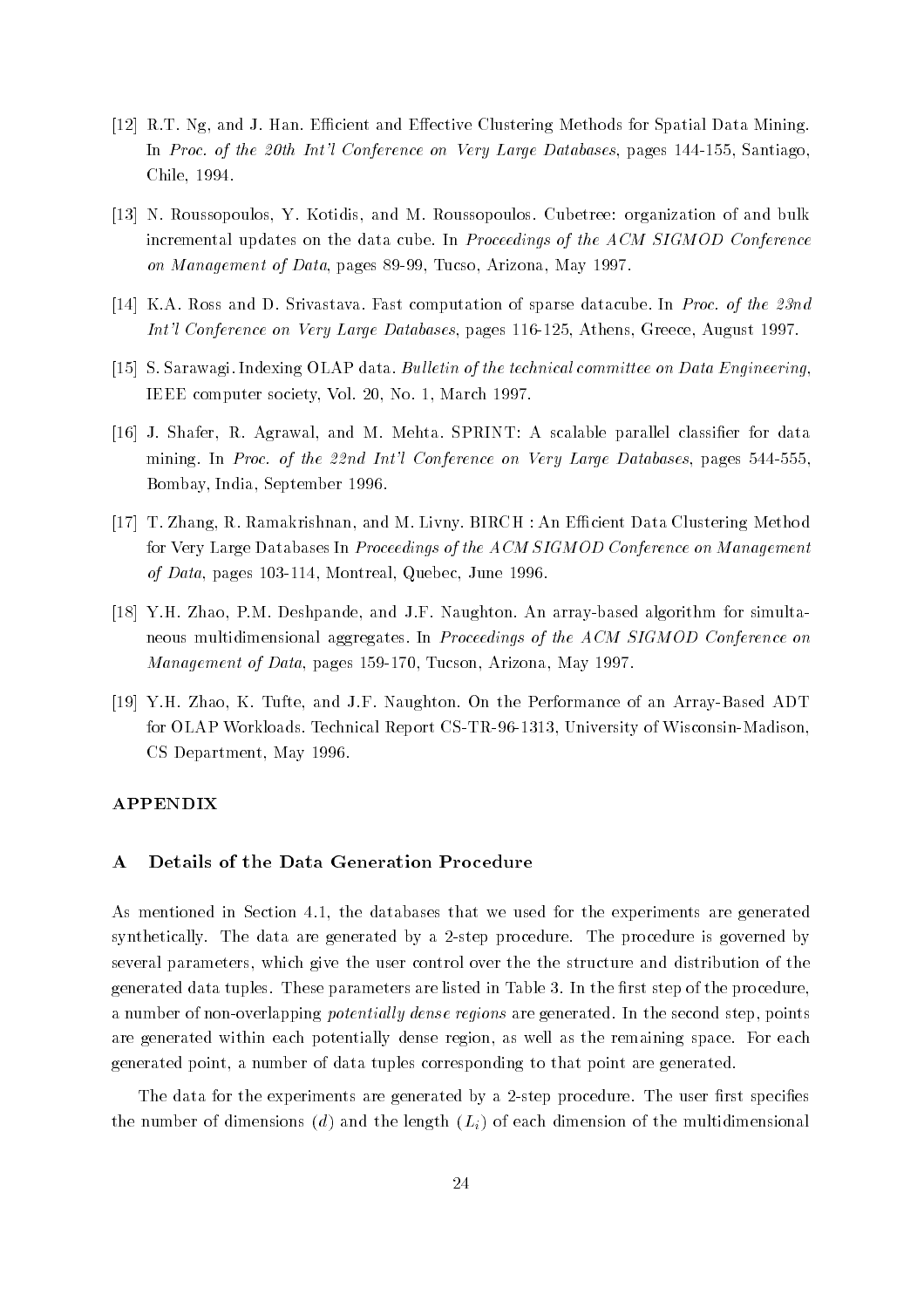- [12] R.T. Ng, and J. Han. Efficient and Effective Clustering Methods for Spatial Data Mining. In Proc of the th Intl Conference on Very Large Databases pages - Santiago Chile, 1994.
- N Roussopoulos Y Kotidis and M Roussopoulos Cubetree organization of and bulk incremental updates on the data cube. In Proceedings of the ACM SIGMOD Conference on Management of Data pages - Management of Data pages - Management of Data pages - May 2012 - May 2013 - May 20
- [14] K.A. Ross and D. Srivastava. Fast computation of sparse datacube. In Proc. of the 23nd Intl Conference on Very Large Databases pages 
- Athens Greece August
- [15] S. Sarawagi. Indexing OLAP data. Bulletin of the technical committee on Data Engineering. IEEE computer society, Vol. 20, No. 1, March 1997.
- [16] J. Shafer, R. Agrawal, and M. Mehta. SPRINT: A scalable parallel classifier for data mining is the state of the natural state of the International Conference on International Program is the state Bombay, India, September 1996.
- [17] T. Zhang, R. Ramakrishnan, and M. Livny. BIRCH : An Efficient Data Clustering Method for Very Large Databases In Proceedings of the ACM SIGMOD Conference on Management of Data pages Data Development and Alberta and Data Data and
- $\mathcal{A}$  . The probability of the simulta-dimensional probability of  $\mathcal{A}$  , and  $\mathcal{A}$  are simulta-dimensional probability of the simulta-dimensional probability of  $\mathcal{A}$  are simulta-dimensional probability of th neous multidimensional aggregates In Proceedings of the ACM SIGMOD Conference on Management of Data pages - Tucson Arizona May
- $\mathcal{A}$  . The  $\mathcal{A}$  -matrix  $\mathcal{A}$  and  $\mathcal{A}$  and  $\mathcal{A}$  and  $\mathcal{A}$  and  $\mathcal{A}$ for OLAP Workloads Technical Report CS-TR-- University of Wisconsin-Madison CS Department, May 1996.

#### APPENDIX

#### $\mathbf{A}$ Details of the Data Generation Procedure

As mentioned in Section 4.1, the databases that we used for the experiments are generated synthetically The data are generated by a -step procedure The procedure is governed by several parameters, which give the user control over the the structure and distribution of the generated data tuples These parameters are not the model in the listed in the rate procedure a number of non-overlapping potential ly dense regions are generated In the second step points are generated within each potentially dense region, as well as the remaining space. For each generated point a number of data tuples corresponding to that point are generated

The data for the experiments are generated by a -step procedure The user rst species the number of dimensions (d) and the length  $(L_i)$  of each dimension of the multidimensional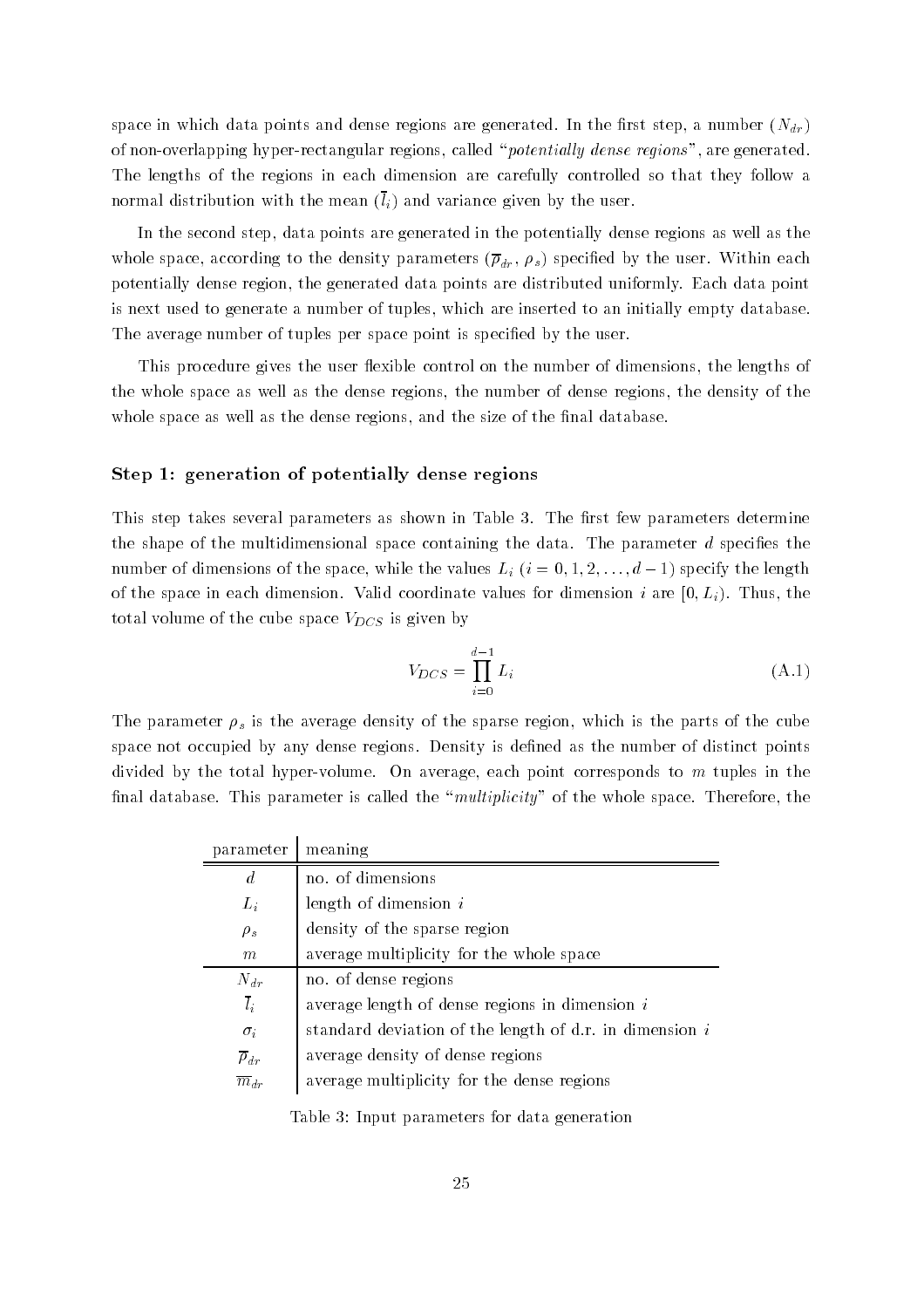space in which data points and dense regions are generated. In the first step, a number  $(N_{dr})$ of non-overlapping hyper-rectangular regions called potential ly dense regions are generated The lengths of the regions in each dimension are carefully controlled so that they follow a increase and variance with the meaning (if) with the user and user and called the user  $\alpha$ 

In the second step, data points are generated in the potentially dense regions as well as the whole space, according to the density parameters  $(\overline{\rho}_{dr}, \rho_s)$  specified by the user. Within each potentially dense region, the generated data points are distributed uniformly. Each data point is next used to generate a number of tuples, which are inserted to an initially empty database. The average number of tuples per space point is specified by the user.

This procedure gives the user flexible control on the number of dimensions, the lengths of the whole space as well as the dense regions the number of dense regions the density of the whole space as well as the dense regions, and the size of the final database.

## Step 1: generation of potentially dense regions

This step takes several parameters as shown in Table  The rst few parameters determine the shape of the multidimensional space containing the data. The parameter  $d$  specifies the number of dimensions of the space, while the values  $L_i$   $(i = 0, 1, 2, \ldots, d-1)$  specify the length of the space in each dimension in each dimension in each dimension in the space  $\mathbf{I}$ total volume of the cube space  $V_{DCS}$  is given by

$$
V_{DCS} = \prod_{i=0}^{d-1} L_i \tag{A.1}
$$

The parameter  $\rho_s$  is the average density of the sparse region, which is the parts of the cube space not occupied by any dense regions. Density is defined as the number of distinct points divided by the total hyper-volume On average each point corresponds to m tuples in the final database. This parameter is called the "*multiplicity*" of the whole space. Therefore, the

| parameter              | meaning                                                     |
|------------------------|-------------------------------------------------------------|
| $\overline{d}$         | no. of dimensions                                           |
| $L_i$                  | length of dimension $i$                                     |
| $\rho_s$               | density of the sparse region                                |
| m                      | average multiplicity for the whole space                    |
| $N_{dr}$               | no. of dense regions                                        |
| $\overline{l}_i$       | average length of dense regions in dimension $i$            |
| $\sigma_i$             | standard deviation of the length of $d.r.$ in dimension $i$ |
| $\overline{\rho}_{dr}$ | average density of dense regions                            |
| $\overline{m}_{dr}$    | average multiplicity for the dense regions                  |
|                        |                                                             |

<u>Table is the parameters for data generation</u>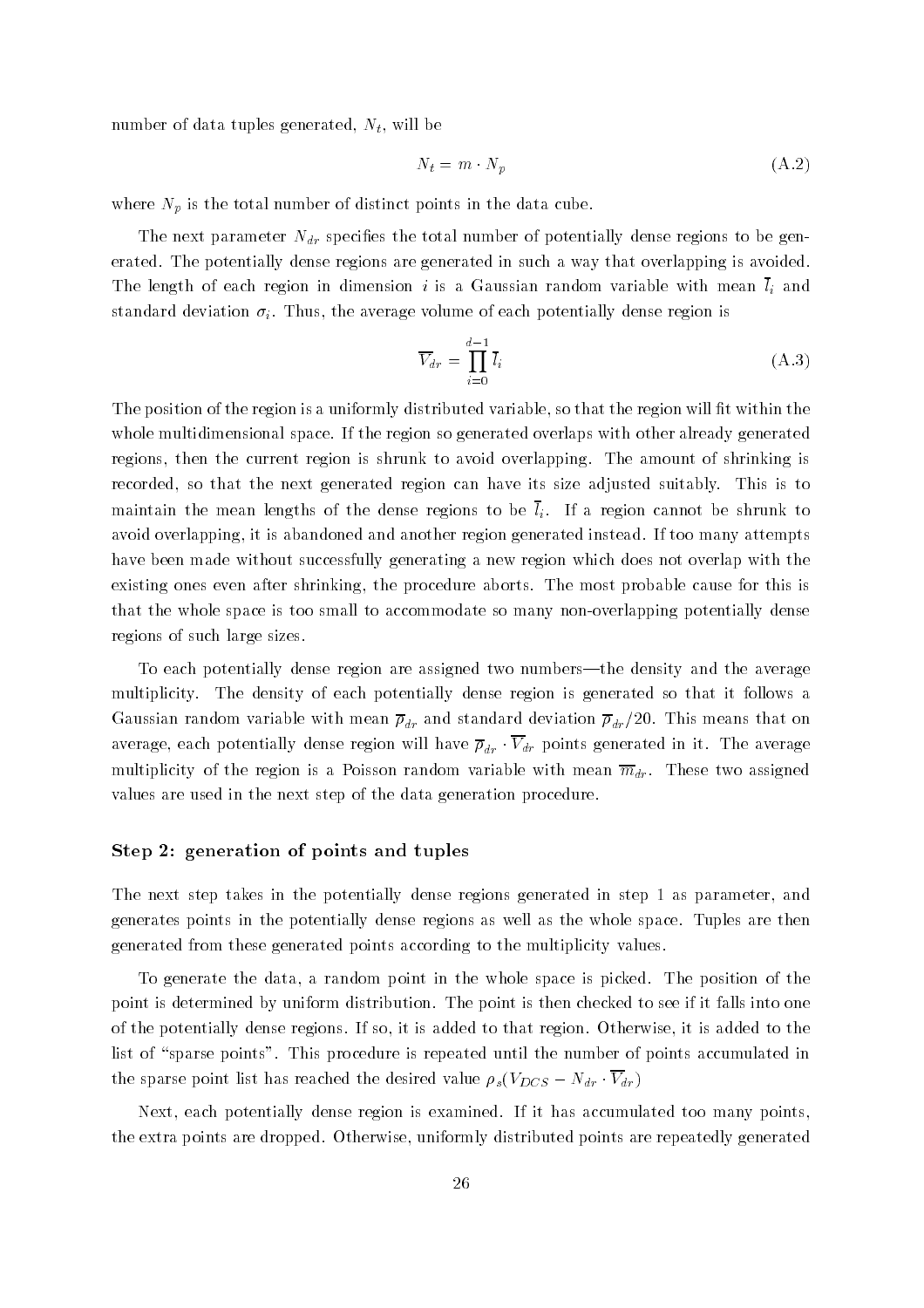number of data tuples generated,  $N_t$ , will be

$$
N_t = m \cdot N_p \tag{A.2}
$$

where  $N_p$  is the total number of distinct points in the data cube.

The next parameter  $N_{dr}$  specifies the total number of potentially dense regions to be generated. The potentially dense regions are generated in such a way that overlapping is avoided. The length of each region in dimension i is a Gaussian random variable with mean  $\bar{l}_i$  and standard deviation  $\sigma_i$ . Thus, the average volume of each potentially dense region is

$$
\overline{V}_{dr} = \prod_{i=0}^{d-1} \overline{l}_i \tag{A.3}
$$

The position of the region is a uniformly distributed variable, so that the region will fit within the whole multidimensional space If the region so generated overlaps with other already generated regions, then the current region is shrunk to avoid overlapping. The amount of shrinking is recorded, so that the next generated region can have its size adjusted suitably. This is to maintain the mean lengths of the dense regions to be  $\bar{l}_i$ . If a region cannot be shrunk to avoid overlapping it is abandoned and another region generated instead If too many attempts have been made without successfully generating a new region which does not overlap with the existing ones even after shrinking, the procedure aborts. The most probable cause for this is that the whole space is too small to accommodate so many non-overlapping potentially dense regions of such large sizes

To each potentially dense region are assigned two numbers—the density and the average multiplicity The density of each potentially dense region is generated so that it follows a Gaussian random variable with mean  $\overline{\rho}_{dr}$  and standard deviation  $\overline{\rho}_{dr}/20$ . This means that on average, each potentially dense region will have  $\overline{\rho}_{dr} \cdot \overline{V}_{dr}$  points generated in it. The average multiplicity of the region is a Poisson random variable with mean  $\overline{m}_{dr}$ . These two assigned values are used in the next step of the data generation procedure

#### Step - generation of points and tuples

The next step takes in the potentially dense regions generated in step 1 as parameter, and generates points in the potentially dense regions as well as the whole space Tuples are then generated from these generated points according to the multiplicity values

To generate the data, a random point in the whole space is picked. The position of the point is determined by uniform distribution. The point is then checked to see if it falls into one of the potentially dense regions If so it is added to that region Otherwise it is added to the list of "sparse points". This procedure is repeated until the number of points accumulated in the sparse point list has reached the desired value  $\rho_s(V_{DCS} - N_{dr} \cdot \overline{V}_{dr})$ 

Next, each potentially dense region is examined. If it has accumulated too many points the extra points are dropped Otherwise uniformly distributed points are repeatedly generated